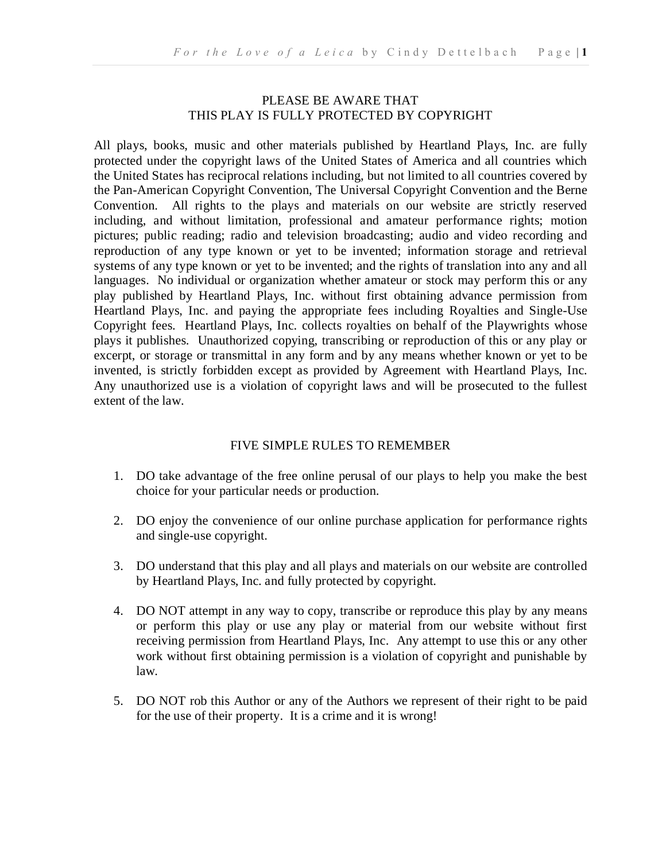#### PLEASE BE AWARE THAT THIS PLAY IS FULLY PROTECTED BY COPYRIGHT

All plays, books, music and other materials published by Heartland Plays, Inc. are fully protected under the copyright laws of the United States of America and all countries which the United States has reciprocal relations including, but not limited to all countries covered by the Pan-American Copyright Convention, The Universal Copyright Convention and the Berne Convention. All rights to the plays and materials on our website are strictly reserved including, and without limitation, professional and amateur performance rights; motion pictures; public reading; radio and television broadcasting; audio and video recording and reproduction of any type known or yet to be invented; information storage and retrieval systems of any type known or yet to be invented; and the rights of translation into any and all languages. No individual or organization whether amateur or stock may perform this or any play published by Heartland Plays, Inc. without first obtaining advance permission from Heartland Plays, Inc. and paying the appropriate fees including Royalties and Single-Use Copyright fees. Heartland Plays, Inc. collects royalties on behalf of the Playwrights whose plays it publishes. Unauthorized copying, transcribing or reproduction of this or any play or excerpt, or storage or transmittal in any form and by any means whether known or yet to be invented, is strictly forbidden except as provided by Agreement with Heartland Plays, Inc. Any unauthorized use is a violation of copyright laws and will be prosecuted to the fullest extent of the law.

#### FIVE SIMPLE RULES TO REMEMBER

- 1. DO take advantage of the free online perusal of our plays to help you make the best choice for your particular needs or production.
- 2. DO enjoy the convenience of our online purchase application for performance rights and single-use copyright.
- 3. DO understand that this play and all plays and materials on our website are controlled by Heartland Plays, Inc. and fully protected by copyright.
- 4. DO NOT attempt in any way to copy, transcribe or reproduce this play by any means or perform this play or use any play or material from our website without first receiving permission from Heartland Plays, Inc. Any attempt to use this or any other work without first obtaining permission is a violation of copyright and punishable by law.
- 5. DO NOT rob this Author or any of the Authors we represent of their right to be paid for the use of their property. It is a crime and it is wrong!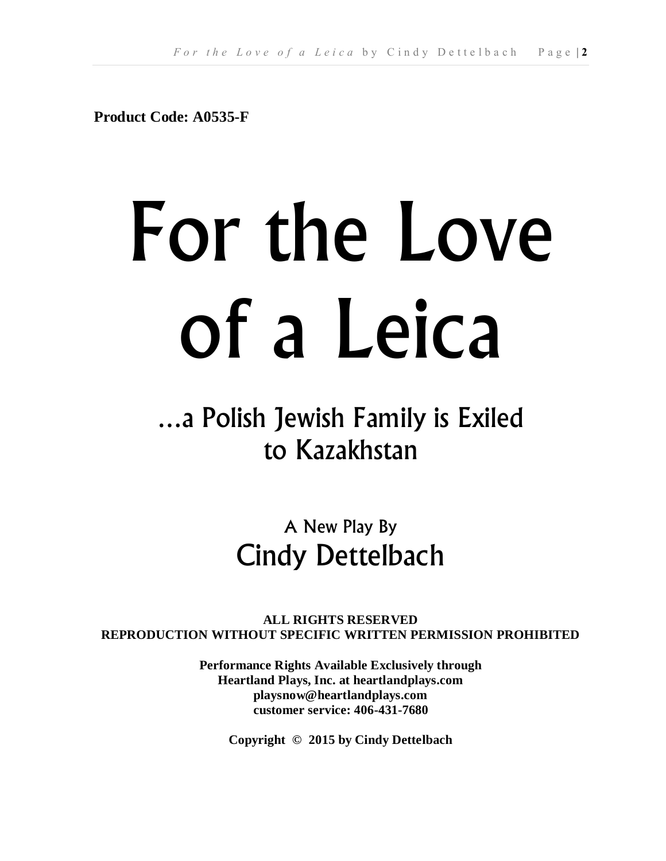**Product Code: A0535-F**

# For the Love of a Leica

# …a Polish Jewish Family is Exiled to Kazakhstan

## A New Play By Cindy Dettelbach

**ALL RIGHTS RESERVED REPRODUCTION WITHOUT SPECIFIC WRITTEN PERMISSION PROHIBITED**

> **Performance Rights Available Exclusively through Heartland Plays, Inc. at heartlandplays.com playsnow@heartlandplays.com customer service: 406-431-7680**

> > **Copyright © 2015 by Cindy Dettelbach**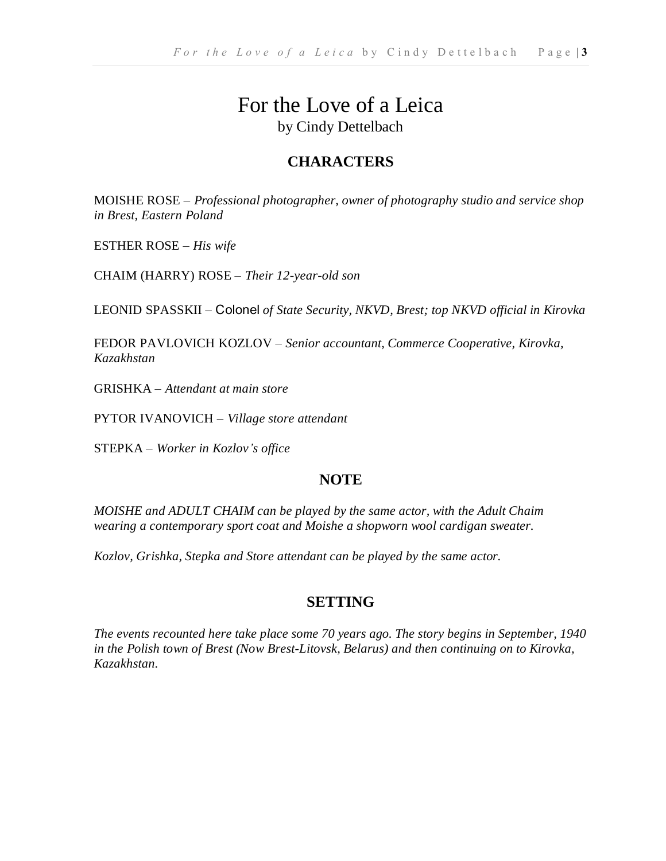## For the Love of a Leica by Cindy Dettelbach

### **CHARACTERS**

MOISHE ROSE – *Professional photographer, owner of photography studio and service shop in Brest, Eastern Poland*

ESTHER ROSE – *His wife*

CHAIM (HARRY) ROSE – *Their 12-year-old son*

LEONID SPASSKII – Colonel *of State Security, NKVD, Brest; top NKVD official in Kirovka*

FEDOR PAVLOVICH KOZLOV – *Senior accountant, Commerce Cooperative, Kirovka, Kazakhstan*

GRISHKA – *Attendant at main store*

PYTOR IVANOVICH – *Village store attendant*

STEPKA – *Worker in Kozlov's office*

#### **NOTE**

*MOISHE and ADULT CHAIM can be played by the same actor, with the Adult Chaim wearing a contemporary sport coat and Moishe a shopworn wool cardigan sweater.*

*Kozlov, Grishka, Stepka and Store attendant can be played by the same actor.*

#### **SETTING**

*The events recounted here take place some 70 years ago. The story begins in September, 1940 in the Polish town of Brest (Now Brest-Litovsk, Belarus) and then continuing on to Kirovka, Kazakhstan.*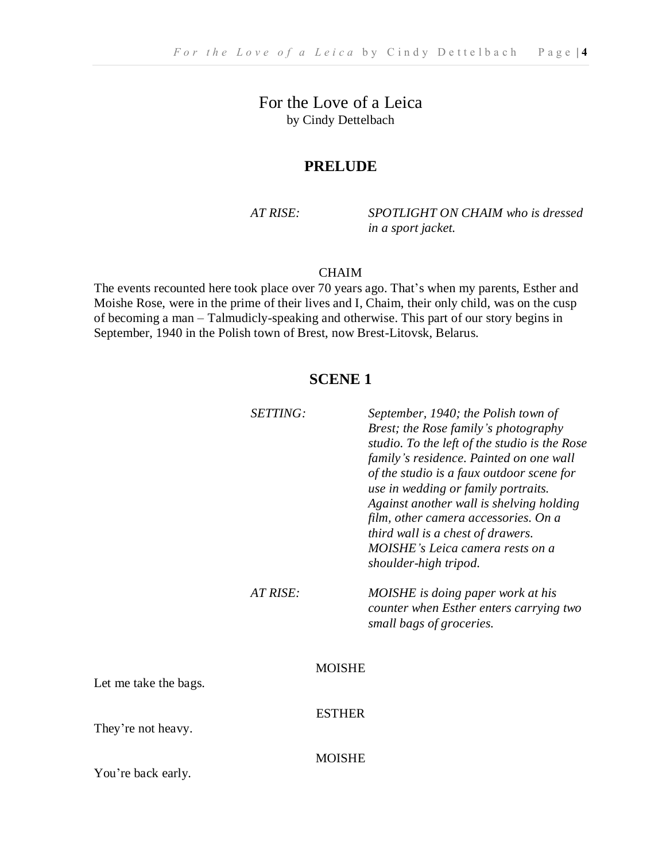For the Love of a Leica by Cindy Dettelbach

#### **PRELUDE**

*AT RISE: SPOTLIGHT ON CHAIM who is dressed in a sport jacket.*

#### CHAIM

The events recounted here took place over 70 years ago. That's when my parents, Esther and Moishe Rose, were in the prime of their lives and I, Chaim, their only child, was on the cusp of becoming a man – Talmudicly-speaking and otherwise. This part of our story begins in September, 1940 in the Polish town of Brest, now Brest-Litovsk, Belarus.

#### **SCENE 1**

|                       | SETTING: |               | September, 1940; the Polish town of<br>Brest; the Rose family's photography<br>studio. To the left of the studio is the Rose<br>family's residence. Painted on one wall<br>of the studio is a faux outdoor scene for<br>use in wedding or family portraits.<br>Against another wall is shelving holding<br>film, other camera accessories. On a<br>third wall is a chest of drawers.<br>MOISHE's Leica camera rests on a<br>shoulder-high tripod. |
|-----------------------|----------|---------------|---------------------------------------------------------------------------------------------------------------------------------------------------------------------------------------------------------------------------------------------------------------------------------------------------------------------------------------------------------------------------------------------------------------------------------------------------|
|                       | AT RISE: |               | MOISHE is doing paper work at his<br>counter when Esther enters carrying two<br>small bags of groceries.                                                                                                                                                                                                                                                                                                                                          |
| Let me take the bags. |          | <b>MOISHE</b> |                                                                                                                                                                                                                                                                                                                                                                                                                                                   |
| They're not heavy.    |          | <b>ESTHER</b> |                                                                                                                                                                                                                                                                                                                                                                                                                                                   |
| You're back early.    |          | <b>MOISHE</b> |                                                                                                                                                                                                                                                                                                                                                                                                                                                   |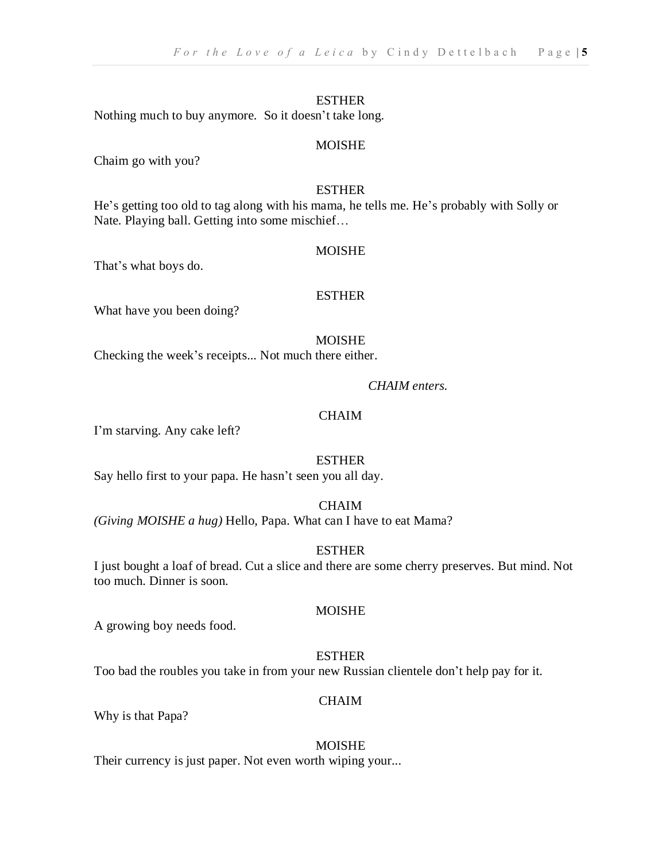Nothing much to buy anymore. So it doesn't take long.

#### MOISHE

Chaim go with you?

#### ESTHER

He's getting too old to tag along with his mama, he tells me. He's probably with Solly or Nate. Playing ball. Getting into some mischief…

#### MOISHE

That's what boys do.

#### ESTHER

What have you been doing?

#### MOISHE

Checking the week's receipts... Not much there either.

#### *CHAIM enters.*

#### CHAIM

I'm starving. Any cake left?

#### ESTHER

Say hello first to your papa. He hasn't seen you all day.

#### **CHAIM**

*(Giving MOISHE a hug)* Hello, Papa. What can I have to eat Mama?

#### **ESTHER**

I just bought a loaf of bread. Cut a slice and there are some cherry preserves. But mind. Not too much. Dinner is soon.

#### MOISHE

A growing boy needs food.

#### ESTHER

Too bad the roubles you take in from your new Russian clientele don't help pay for it.

#### CHAIM

Why is that Papa?

#### MOISHE

Their currency is just paper. Not even worth wiping your...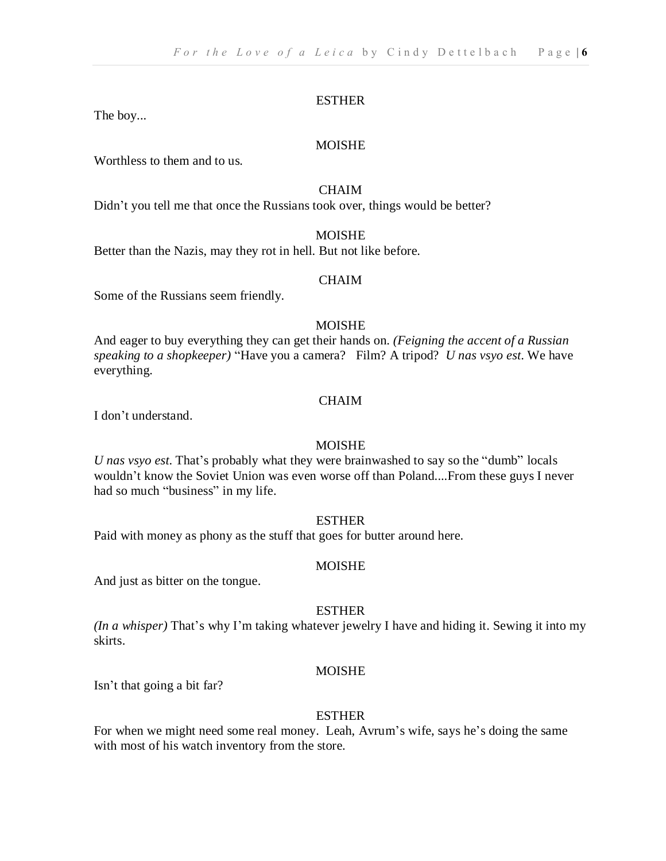The boy...

#### MOISHE

Worthless to them and to us.

#### CHAIM

Didn't you tell me that once the Russians took over, things would be better?

#### MOISHE

Better than the Nazis, may they rot in hell. But not like before.

#### CHAIM

Some of the Russians seem friendly.

#### MOISHE

And eager to buy everything they can get their hands on. *(Feigning the accent of a Russian speaking to a shopkeeper)* "Have you a camera? Film? A tripod? *U nas vsyo est*. We have everything.

#### CHAIM

I don't understand.

#### MOISHE

*U nas vsyo est*. That's probably what they were brainwashed to say so the "dumb" locals wouldn't know the Soviet Union was even worse off than Poland....From these guys I never had so much "business" in my life.

#### ESTHER

Paid with money as phony as the stuff that goes for butter around here.

#### MOISHE

And just as bitter on the tongue.

#### ESTHER

*(In a whisper)* That's why I'm taking whatever jewelry I have and hiding it. Sewing it into my skirts.

#### MOISHE

Isn't that going a bit far?

#### ESTHER

For when we might need some real money. Leah, Avrum's wife, says he's doing the same with most of his watch inventory from the store.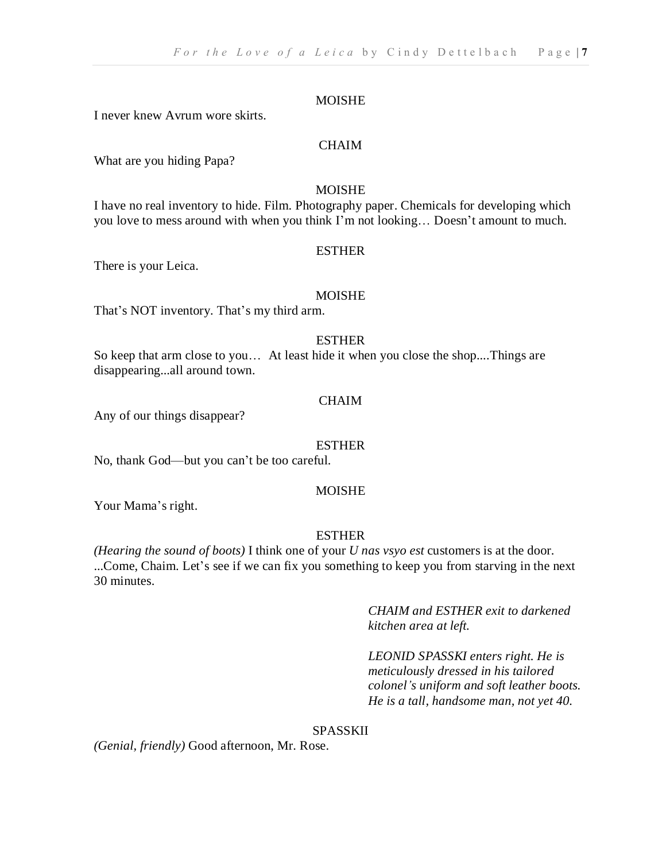I never knew Avrum wore skirts.

#### **CHAIM**

What are you hiding Papa?

#### MOISHE

I have no real inventory to hide. Film. Photography paper. Chemicals for developing which you love to mess around with when you think I'm not looking… Doesn't amount to much.

#### ESTHER

There is your Leica.

#### MOISHE

That's NOT inventory. That's my third arm.

#### ESTHER

So keep that arm close to you… At least hide it when you close the shop....Things are disappearing...all around town.

#### CHAIM

Any of our things disappear?

#### ESTHER

No, thank God—but you can't be too careful.

#### MOISHE

Your Mama's right.

#### ESTHER

*(Hearing the sound of boots)* I think one of your *U nas vsyo est* customers is at the door. ...Come, Chaim. Let's see if we can fix you something to keep you from starving in the next 30 minutes.

> *CHAIM and ESTHER exit to darkened kitchen area at left.*

*LEONID SPASSKI enters right. He is meticulously dressed in his tailored colonel's uniform and soft leather boots. He is a tall, handsome man, not yet 40.*

#### SPASSKII

*(Genial, friendly)* Good afternoon, Mr. Rose.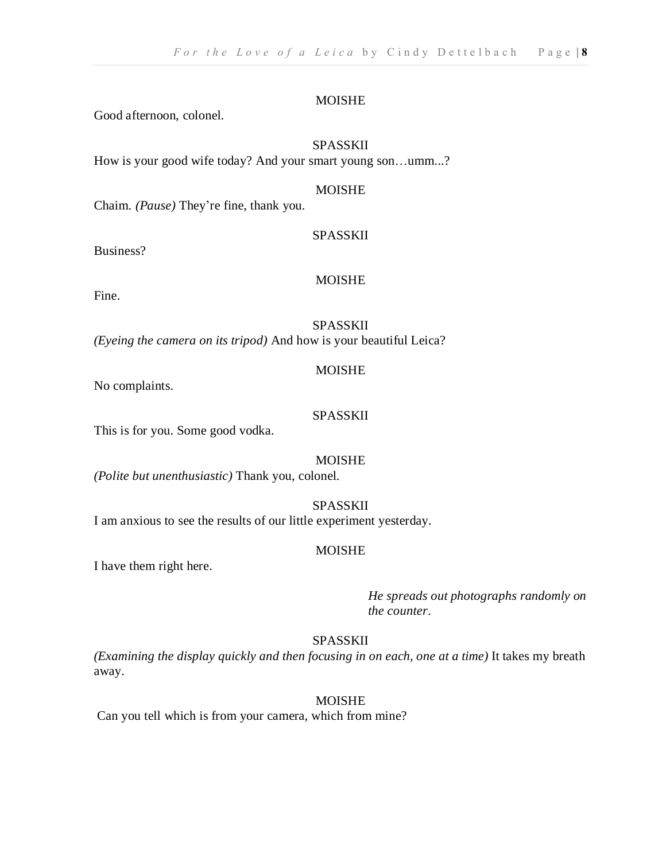Good afternoon, colonel.

#### SPASSKII

How is your good wife today? And your smart young son…umm...?

#### MOISHE

Chaim. *(Pause)* They're fine, thank you.

#### SPASSKII

Business?

#### MOISHE

Fine.

#### **SPASSKII**

*(Eyeing the camera on its tripod)* And how is your beautiful Leica?

#### MOISHE

No complaints.

#### SPASSKII

This is for you. Some good vodka.

#### MOISHE

*(Polite but unenthusiastic)* Thank you, colonel.

#### **SPASSKII**

I am anxious to see the results of our little experiment yesterday.

#### MOISHE

I have them right here.

*He spreads out photographs randomly on the counter*.

#### SPASSKII

*(Examining the display quickly and then focusing in on each, one at a time)* It takes my breath away.

#### MOISHE

Can you tell which is from your camera, which from mine?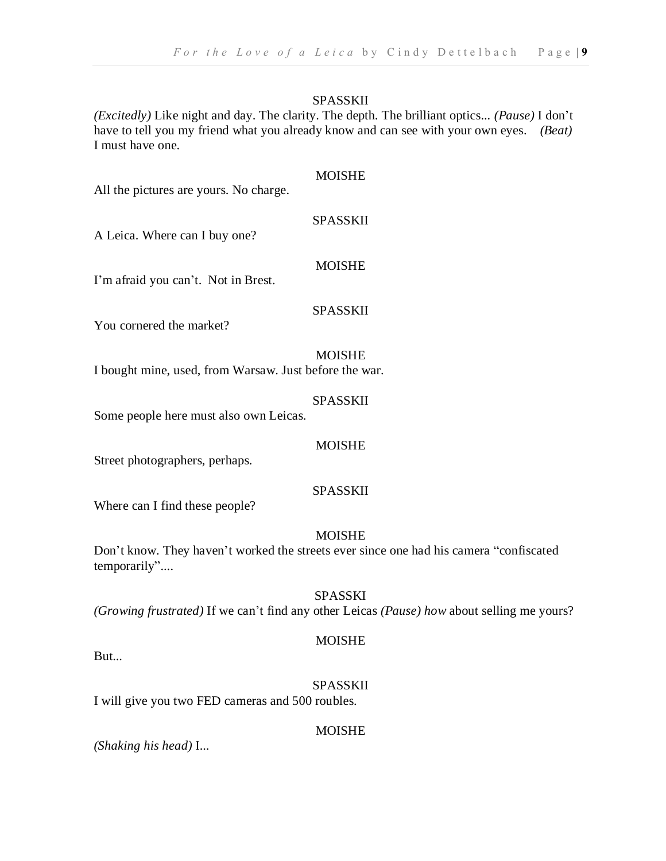MOISHE

*(Excitedly)* Like night and day. The clarity. The depth. The brilliant optics... *(Pause)* I don't have to tell you my friend what you already know and can see with your own eyes. *(Beat)* I must have one.

| All the pictures are yours. No charge.                 |                 |
|--------------------------------------------------------|-----------------|
| A Leica. Where can I buy one?                          | <b>SPASSKII</b> |
| I'm afraid you can't. Not in Brest.                    | <b>MOISHE</b>   |
| You cornered the market?                               | SPASSKII        |
| I bought mine, used, from Warsaw. Just before the war. | <b>MOISHE</b>   |
|                                                        | SPASSKII        |

Some people here must also own Leicas.

#### MOISHE

Street photographers, perhaps.

#### SPASSKII

Where can I find these people?

#### MOISHE

Don't know. They haven't worked the streets ever since one had his camera "confiscated temporarily"....

#### SPASSKI

*(Growing frustrated)* If we can't find any other Leicas *(Pause) how* about selling me yours?

#### MOISHE

But...

#### SPASSKII

I will give you two FED cameras and 500 roubles.

#### MOISHE

*(Shaking his head)* I...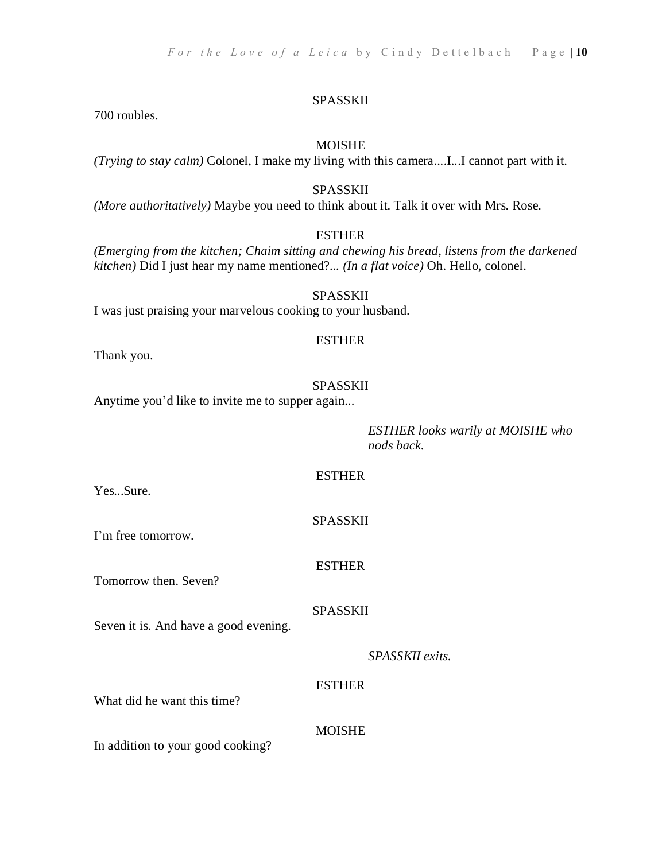700 roubles.

#### MOISHE

*(Trying to stay calm)* Colonel, I make my living with this camera....I...I cannot part with it.

#### SPASSKII

*(More authoritatively)* Maybe you need to think about it. Talk it over with Mrs. Rose.

#### **ESTHER**

*(Emerging from the kitchen; Chaim sitting and chewing his bread, listens from the darkened kitchen)* Did I just hear my name mentioned?... *(In a flat voice)* Oh. Hello, colonel.

#### SPASSKII I was just praising your marvelous cooking to your husband.

Thank you.

#### SPASSKII

ESTHER

Anytime you'd like to invite me to supper again...

*ESTHER looks warily at MOISHE who nods back.*

#### ESTHER

SPASSKII

ESTHER

Yes...Sure.

I'm free tomorrow.

Tomorrow then. Seven?

#### SPASSKII

Seven it is. And have a good evening.

| SPASSKII exits. |
|-----------------|
|-----------------|

#### ESTHER

What did he want this time?

#### MOISHE

In addition to your good cooking?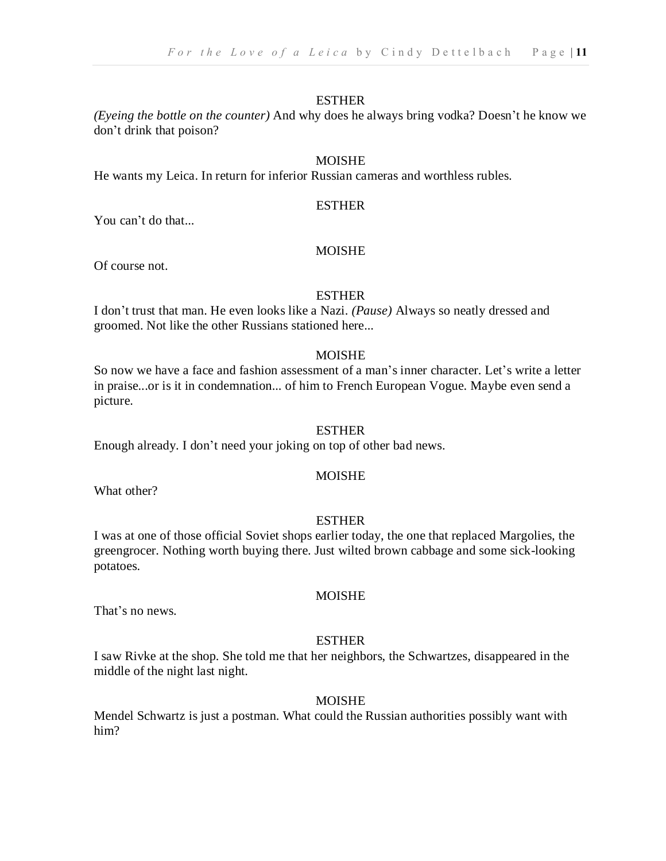*(Eyeing the bottle on the counter)* And why does he always bring vodka? Doesn't he know we don't drink that poison?

#### MOISHE

He wants my Leica. In return for inferior Russian cameras and worthless rubles.

#### **ESTHER**

You can't do that...

#### MOISHE

Of course not.

#### **ESTHER**

I don't trust that man. He even looks like a Nazi. *(Pause)* Always so neatly dressed and groomed. Not like the other Russians stationed here...

#### MOISHE

So now we have a face and fashion assessment of a man's inner character. Let's write a letter in praise...or is it in condemnation... of him to French European Vogue. Maybe even send a picture.

#### ESTHER

Enough already. I don't need your joking on top of other bad news.

#### MOISHE

What other?

#### ESTHER

I was at one of those official Soviet shops earlier today, the one that replaced Margolies, the greengrocer. Nothing worth buying there. Just wilted brown cabbage and some sick-looking potatoes.

#### MOISHE

That's no news.

#### ESTHER

I saw Rivke at the shop. She told me that her neighbors, the Schwartzes, disappeared in the middle of the night last night.

#### MOISHE

Mendel Schwartz is just a postman. What could the Russian authorities possibly want with him?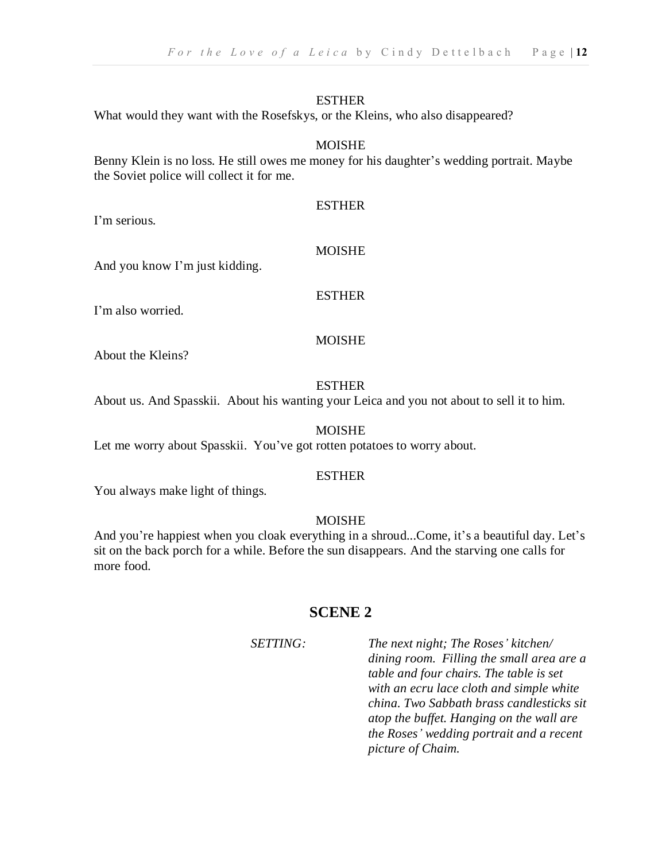What would they want with the Rosefskys, or the Kleins, who also disappeared?

#### MOISHE

Benny Klein is no loss. He still owes me money for his daughter's wedding portrait. Maybe the Soviet police will collect it for me.

I'm serious.

#### MOISHE

ESTHER

And you know I'm just kidding.

#### ESTHER

I'm also worried.

#### MOISHE

About the Kleins?

#### ESTHER

About us. And Spasskii. About his wanting your Leica and you not about to sell it to him.

#### MOISHE

Let me worry about Spasskii. You've got rotten potatoes to worry about.

#### ESTHER

You always make light of things.

#### MOISHE

And you're happiest when you cloak everything in a shroud...Come, it's a beautiful day. Let's sit on the back porch for a while. Before the sun disappears. And the starving one calls for more food.

#### **SCENE 2**

*SETTING: The next night; The Roses' kitchen/ dining room. Filling the small area are a table and four chairs. The table is set with an ecru lace cloth and simple white china. Two Sabbath brass candlesticks sit atop the buffet. Hanging on the wall are the Roses' wedding portrait and a recent picture of Chaim.*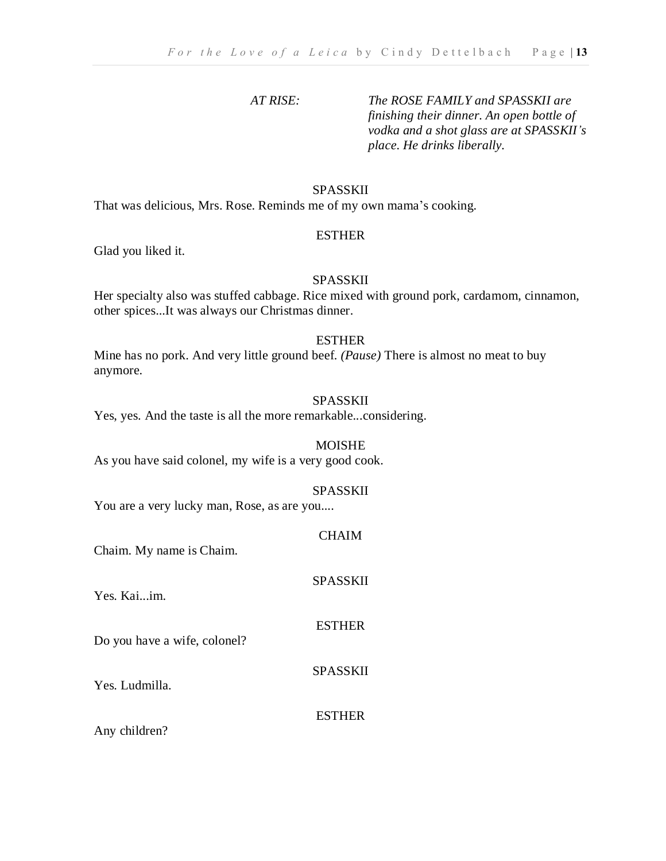#### *AT RISE: The ROSE FAMILY and SPASSKII are finishing their dinner. An open bottle of vodka and a shot glass are at SPASSKII's place. He drinks liberally.*

#### SPASSKII

That was delicious, Mrs. Rose. Reminds me of my own mama's cooking.

#### ESTHER

Glad you liked it.

#### SPASSKII

Her specialty also was stuffed cabbage. Rice mixed with ground pork, cardamom, cinnamon, other spices...It was always our Christmas dinner.

#### ESTHER

Mine has no pork. And very little ground beef. *(Pause)* There is almost no meat to buy anymore.

#### SPASSKII

Yes, yes. And the taste is all the more remarkable...considering.

#### MOISHE

As you have said colonel, my wife is a very good cook.

#### SPASSKII

SPASSKII

ESTHER

SPASSKII

You are a very lucky man, Rose, as are you....

CHAIM

Chaim. My name is Chaim.

Yes. Kai...im.

Do you have a wife, colonel?

Yes. Ludmilla.

#### ESTHER

Any children?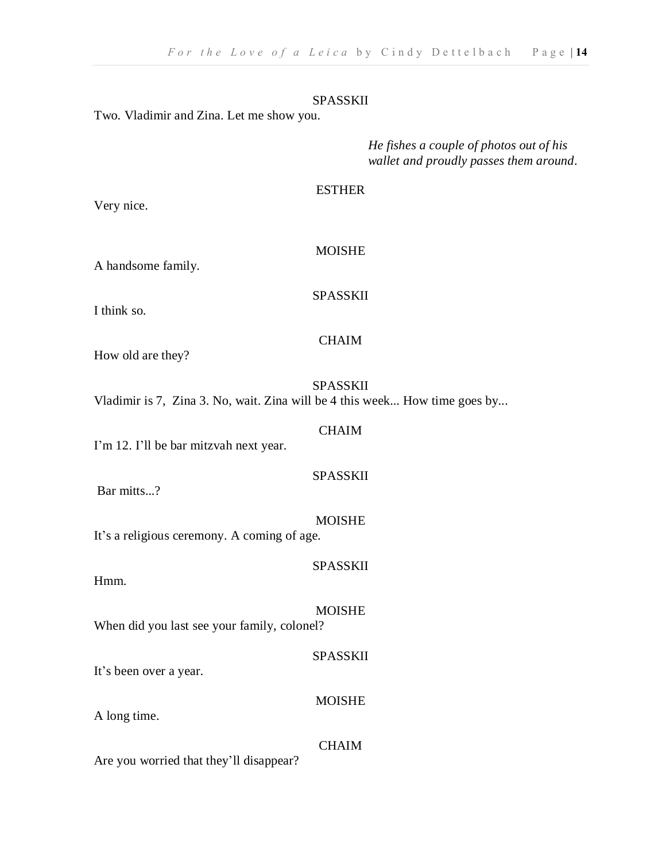Two. Vladimir and Zina. Let me show you.

*He fishes a couple of photos out of his wallet and proudly passes them around*.

#### ESTHER

Very nice.

MOISHE

A handsome family.

SPASSKII

I think so.

CHAIM

How old are they?

#### SPASSKII

CHAIM

SPASSKII

Vladimir is 7, Zina 3. No, wait. Zina will be 4 this week... How time goes by...

I'm 12. I'll be bar mitzvah next year.

Bar mitts...?

MOISHE It's a religious ceremony. A coming of age.

SPASSKII

SPASSKII

MOISHE

Hmm.

MOISHE When did you last see your family, colonel?

It's been over a year.

A long time.

#### CHAIM

Are you worried that they'll disappear?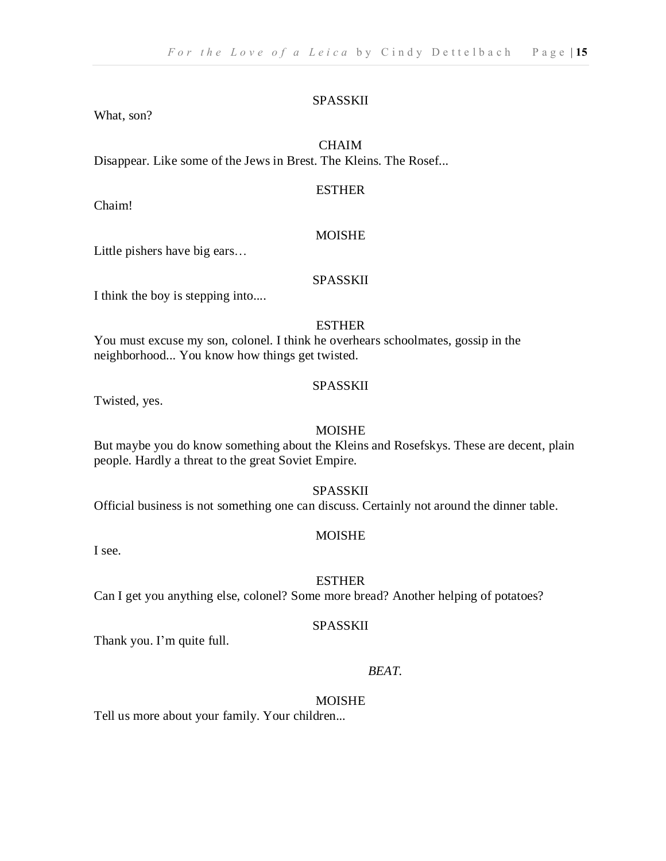What, son?

#### **CHAIM**

Disappear. Like some of the Jews in Brest. The Kleins. The Rosef...

#### ESTHER

Chaim!

#### **MOISHE**

Little pishers have big ears…

#### SPASSKII

I think the boy is stepping into....

#### **ESTHER**

You must excuse my son, colonel. I think he overhears schoolmates, gossip in the neighborhood... You know how things get twisted.

#### SPASSKII

Twisted, yes.

#### MOISHE

But maybe you do know something about the Kleins and Rosefskys. These are decent, plain people. Hardly a threat to the great Soviet Empire.

#### SPASSKII

Official business is not something one can discuss. Certainly not around the dinner table.

#### MOISHE

I see.

#### **ESTHER**

Can I get you anything else, colonel? Some more bread? Another helping of potatoes?

#### SPASSKII

Thank you. I'm quite full.

#### *BEAT.*

#### MOISHE

Tell us more about your family. Your children...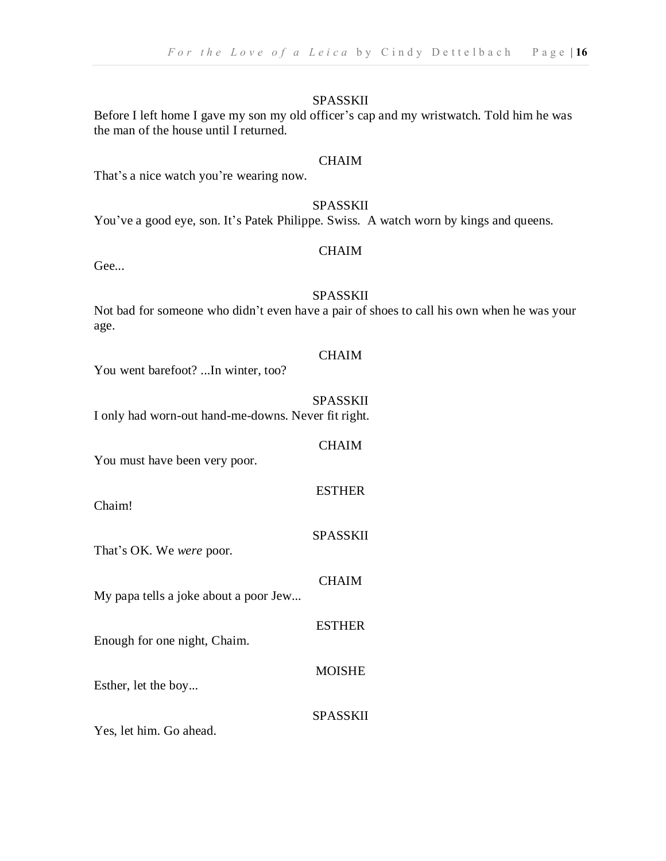#### Before I left home I gave my son my old officer's cap and my wristwatch. Told him he was the man of the house until I returned.

#### CHAIM

That's a nice watch you're wearing now.

#### SPASSKII

You've a good eye, son. It's Patek Philippe. Swiss. A watch worn by kings and queens.

#### CHAIM

Gee...

#### SPASSKII

Not bad for someone who didn't even have a pair of shoes to call his own when he was your age.

#### **CHAIM**

You went barefoot? ...In winter, too?

#### SPASSKII

**CHAIM** 

ESTHER

SPASSKII

**CHAIM** 

ESTHER

MOISHE

I only had worn-out hand-me-downs. Never fit right.

You must have been very poor.

Chaim!

That's OK. We *were* poor.

My papa tells a joke about a poor Jew...

Enough for one night, Chaim.

Esther, let the boy...

SPASSKII

Yes, let him. Go ahead.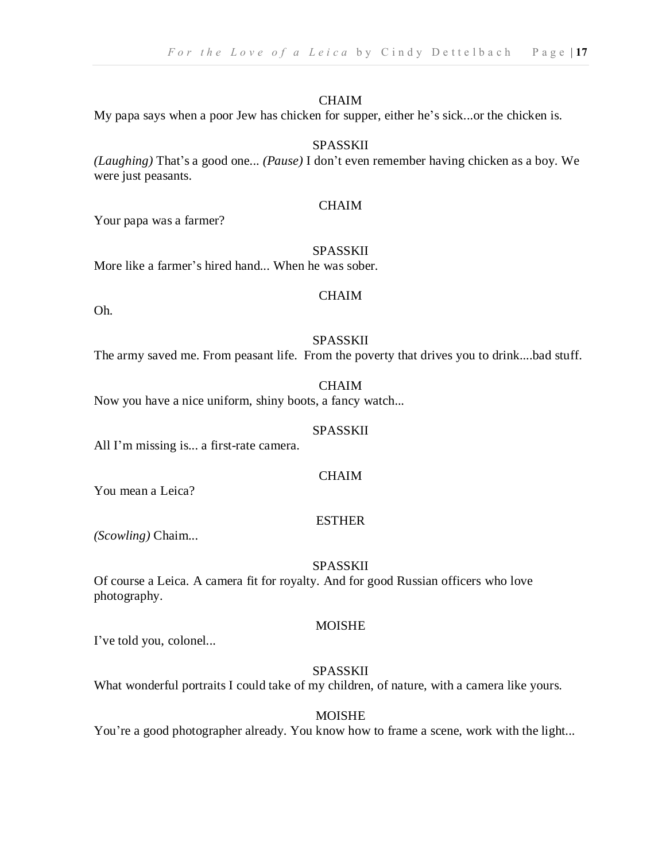#### CHAIM

My papa says when a poor Jew has chicken for supper, either he's sick...or the chicken is.

#### SPASSKII

*(Laughing)* That's a good one... *(Pause)* I don't even remember having chicken as a boy. We were just peasants.

#### **CHAIM**

Your papa was a farmer?

#### SPASSKII

More like a farmer's hired hand... When he was sober.

Oh.

## **CHAIM**

#### SPASSKII

The army saved me. From peasant life. From the poverty that drives you to drink....bad stuff.

#### **CHAIM**

Now you have a nice uniform, shiny boots, a fancy watch...

#### SPASSKII

All I'm missing is... a first-rate camera.

#### CHAIM

You mean a Leica?

#### ESTHER

*(Scowling)* Chaim...

#### SPASSKII

Of course a Leica. A camera fit for royalty. And for good Russian officers who love photography.

#### MOISHE

I've told you, colonel...

#### SPASSKII

What wonderful portraits I could take of my children, of nature, with a camera like yours.

#### MOISHE

You're a good photographer already. You know how to frame a scene, work with the light...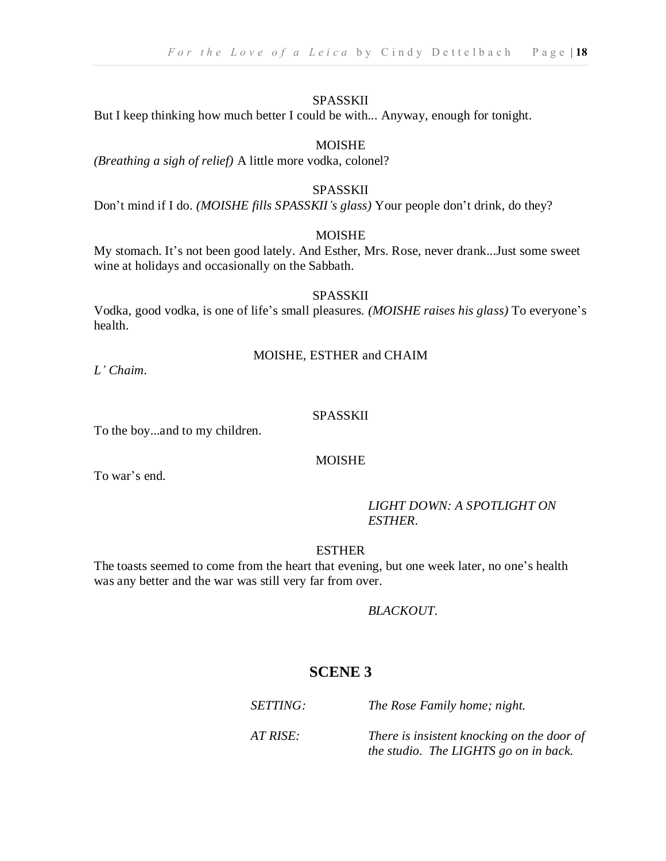But I keep thinking how much better I could be with... Anyway, enough for tonight.

#### MOISHE

*(Breathing a sigh of relief)* A little more vodka, colonel?

#### SPASSKII

Don't mind if I do. *(MOISHE fills SPASSKII's glass)* Your people don't drink, do they?

#### MOISHE

My stomach. It's not been good lately. And Esther, Mrs. Rose, never drank...Just some sweet wine at holidays and occasionally on the Sabbath.

#### SPASSKII

Vodka, good vodka, is one of life's small pleasures. *(MOISHE raises his glass)* To everyone's health.

#### MOISHE, ESTHER and CHAIM

*L' Chaim*.

#### SPASSKII

To the boy...and to my children.

#### MOISHE

To war's end.

#### *LIGHT DOWN: A SPOTLIGHT ON ESTHER.*

ESTHER

The toasts seemed to come from the heart that evening, but one week later, no one's health was any better and the war was still very far from over.

#### *BLACKOUT.*

#### **SCENE 3**

*SETTING: The Rose Family home; night.*

*AT RISE: There is insistent knocking on the door of the studio. The LIGHTS go on in back.*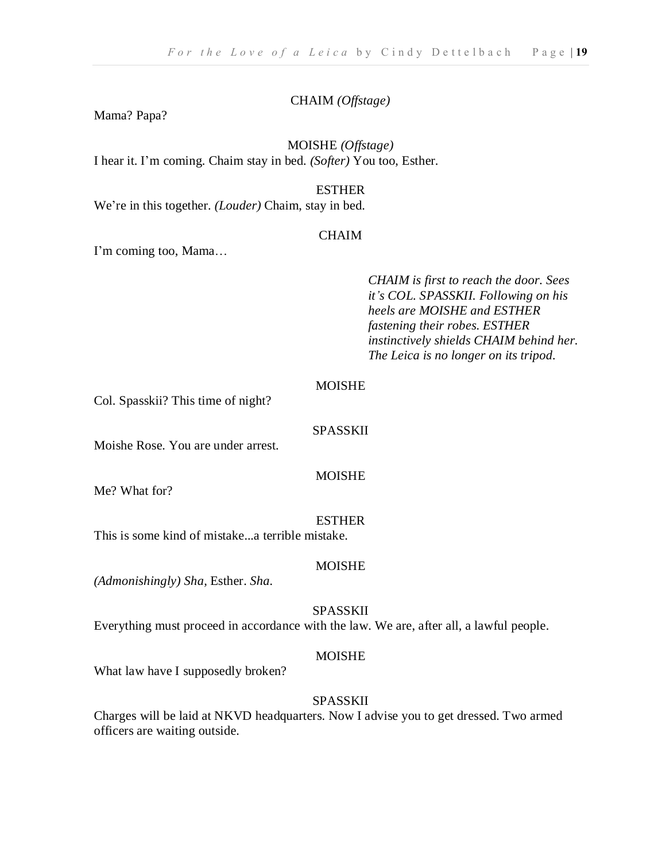#### CHAIM *(Offstage)*

Mama? Papa?

#### MOISHE *(Offstage)*

I hear it. I'm coming. Chaim stay in bed. *(Softer)* You too, Esther.

#### ESTHER

We're in this together. *(Louder)* Chaim, stay in bed.

#### **CHAIM**

I'm coming too, Mama…

#### *CHAIM is first to reach the door. Sees it's COL. SPASSKII. Following on his heels are MOISHE and ESTHER fastening their robes. ESTHER instinctively shields CHAIM behind her. The Leica is no longer on its tripod.*

#### **MOISHE**

Col. Spasskii? This time of night?

#### SPASSKII

Moishe Rose. You are under arrest.

#### MOISHE

Me? What for?

#### ESTHER

This is some kind of mistake...a terrible mistake.

#### **MOISHE**

*(Admonishingly) Sha,* Esther. *Sha.*

#### SPASSKII

Everything must proceed in accordance with the law. We are, after all, a lawful people.

#### MOISHE

What law have I supposedly broken?

#### SPASSKII

Charges will be laid at NKVD headquarters. Now I advise you to get dressed. Two armed officers are waiting outside.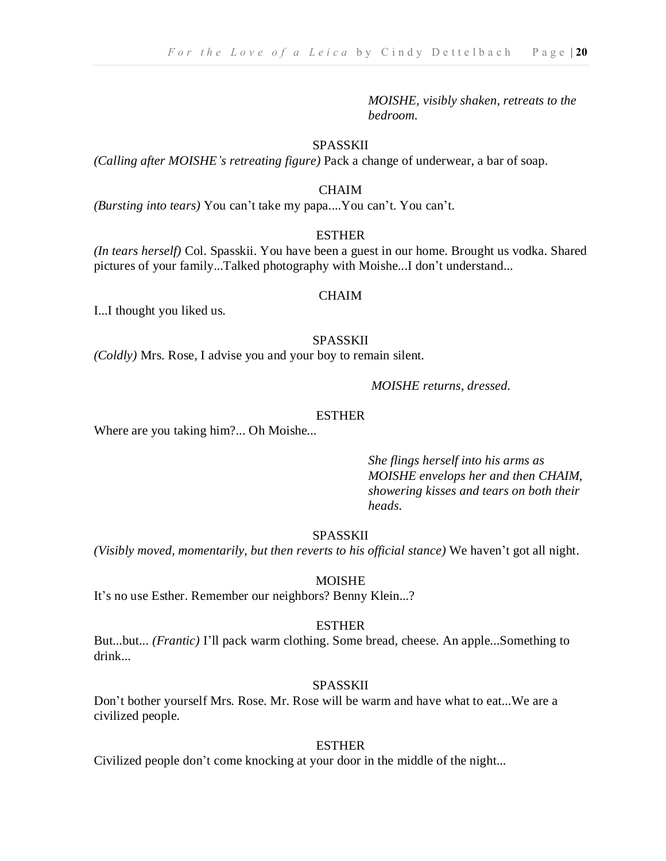*MOISHE, visibly shaken, retreats to the bedroom.*

#### SPASSKII

*(Calling after MOISHE's retreating figure)* Pack a change of underwear, a bar of soap.

#### CHAIM

*(Bursting into tears)* You can't take my papa....You can't. You can't.

#### **ESTHER**

*(In tears herself)* Col. Spasskii. You have been a guest in our home. Brought us vodka. Shared pictures of your family...Talked photography with Moishe...I don't understand...

#### CHAIM

I...I thought you liked us.

#### SPASSKII

*(Coldly)* Mrs. Rose, I advise you and your boy to remain silent.

*MOISHE returns, dressed.*

#### ESTHER

Where are you taking him?... Oh Moishe*...*

*She flings herself into his arms as MOISHE envelops her and then CHAIM, showering kisses and tears on both their heads.*

#### SPASSKII

*(Visibly moved, momentarily, but then reverts to his official stance)* We haven't got all night.

#### MOISHE

It's no use Esther. Remember our neighbors? Benny Klein...?

#### ESTHER

But...but... *(Frantic)* I'll pack warm clothing. Some bread, cheese. An apple...Something to drink...

#### SPASSKII

Don't bother yourself Mrs. Rose. Mr. Rose will be warm and have what to eat...We are a civilized people.

#### ESTHER

Civilized people don't come knocking at your door in the middle of the night...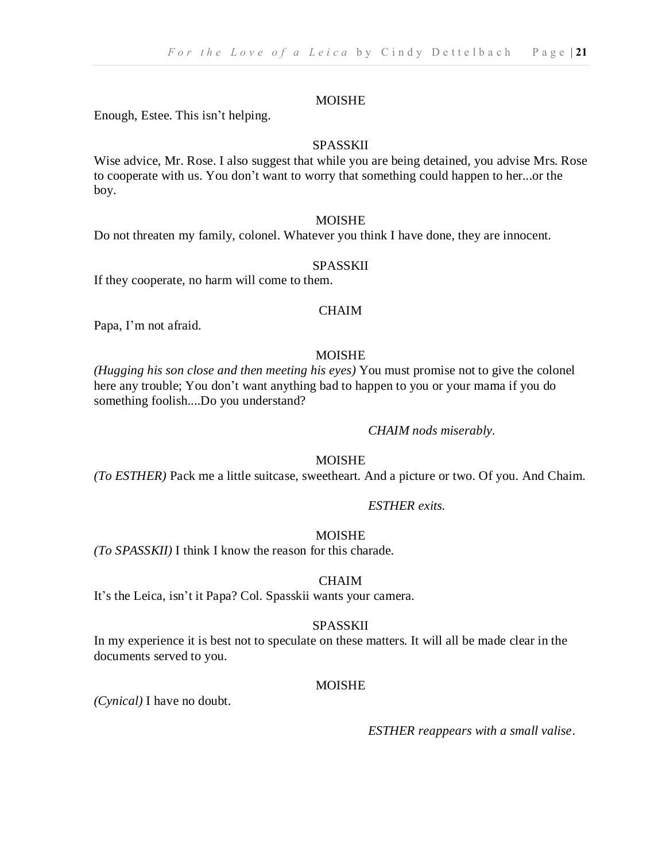Enough, Estee. This isn't helping.

#### SPASSKII

Wise advice, Mr. Rose. I also suggest that while you are being detained, you advise Mrs. Rose to cooperate with us. You don't want to worry that something could happen to her...or the boy.

#### MOISHE

Do not threaten my family, colonel. Whatever you think I have done, they are innocent.

#### SPASSKII

If they cooperate, no harm will come to them.

#### **CHAIM**

Papa, I'm not afraid.

#### MOISHE

*(Hugging his son close and then meeting his eyes)* You must promise not to give the colonel here any trouble; You don't want anything bad to happen to you or your mama if you do something foolish....Do you understand?

#### *CHAIM nods miserably.*

#### MOISHE

*(To ESTHER)* Pack me a little suitcase, sweetheart. And a picture or two. Of you. And Chaim.

#### *ESTHER exits.*

#### MOISHE

*(To SPASSKII)* I think I know the reason for this charade.

#### **CHAIM**

It's the Leica, isn't it Papa? Col. Spasskii wants your camera.

#### SPASSKII

In my experience it is best not to speculate on these matters. It will all be made clear in the documents served to you.

#### MOISHE

*(Cynical)* I have no doubt.

 *ESTHER reappears with a small valise*.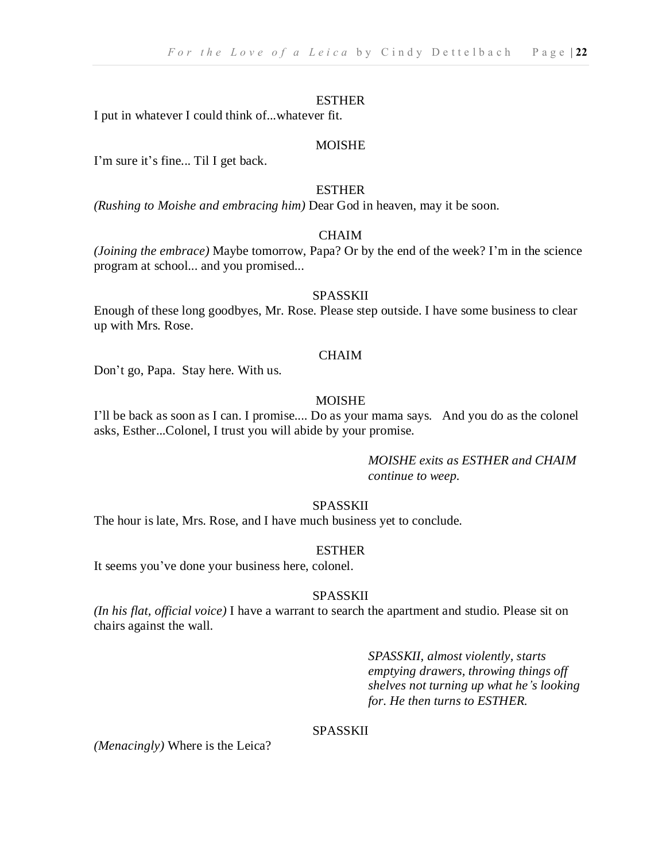I put in whatever I could think of...whatever fit.

#### MOISHE

I'm sure it's fine... Til I get back.

#### ESTHER

*(Rushing to Moishe and embracing him)* Dear God in heaven, may it be soon.

#### **CHAIM**

*(Joining the embrace)* Maybe tomorrow, Papa? Or by the end of the week? I'm in the science program at school... and you promised...

#### SPASSKII

Enough of these long goodbyes, Mr. Rose. Please step outside. I have some business to clear up with Mrs. Rose.

#### **CHAIM**

Don't go, Papa. Stay here. With us.

#### MOISHE

I'll be back as soon as I can. I promise.... Do as your mama says. And you do as the colonel asks, Esther...Colonel, I trust you will abide by your promise.

> *MOISHE exits as ESTHER and CHAIM continue to weep.*

#### SPASSKII

The hour is late, Mrs. Rose, and I have much business yet to conclude.

#### ESTHER

It seems you've done your business here, colonel.

#### SPASSKII

*(In his flat, official voice)* I have a warrant to search the apartment and studio. Please sit on chairs against the wall.

> *SPASSKII, almost violently, starts emptying drawers, throwing things off shelves not turning up what he's looking for. He then turns to ESTHER.*

#### SPASSKII

*(Menacingly)* Where is the Leica?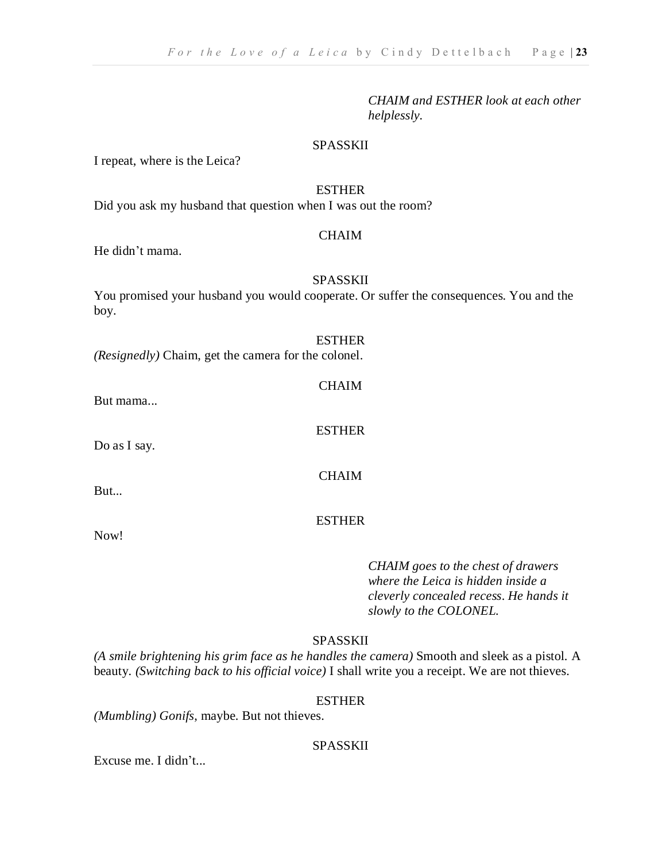*CHAIM and ESTHER look at each other helplessly.*

#### SPASSKII

I repeat, where is the Leica?

#### ESTHER

Did you ask my husband that question when I was out the room?

#### **CHAIM**

He didn't mama.

#### SPASSKII

You promised your husband you would cooperate. Or suffer the consequences. You and the boy.

#### ESTHER

*(Resignedly)* Chaim, get the camera for the colonel.

But mama...

Do as I say.

But...

Now!

**CHAIM** 

ESTHER

CHAIM

#### ESTHER

*CHAIM goes to the chest of drawers where the Leica is hidden inside a cleverly concealed recess*. *He hands it slowly to the COLONEL.*

#### SPASSKII

*(A smile brightening his grim face as he handles the camera)* Smooth and sleek as a pistol. A beauty. *(Switching back to his official voice)* I shall write you a receipt. We are not thieves.

#### ESTHER

*(Mumbling) Gonifs*, maybe. But not thieves.

#### SPASSKII

Excuse me. I didn't...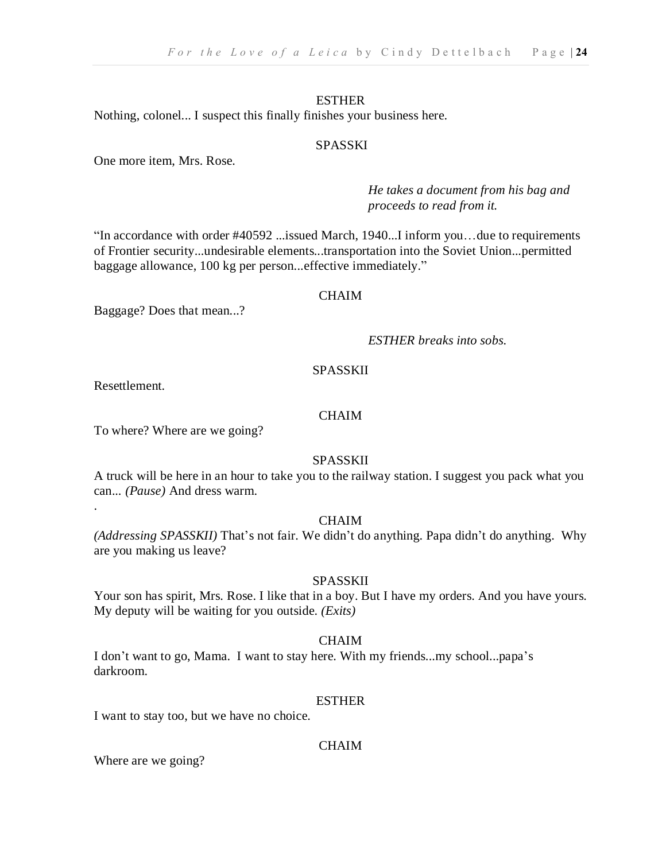Nothing, colonel... I suspect this finally finishes your business here.

#### SPASSKI

One more item, Mrs. Rose.

*He takes a document from his bag and proceeds to read from it.*

"In accordance with order #40592 ...issued March, 1940...I inform you…due to requirements of Frontier security...undesirable elements...transportation into the Soviet Union...permitted baggage allowance, 100 kg per person...effective immediately."

#### **CHAIM**

Baggage? Does that mean...?

*ESTHER breaks into sobs.*

#### SPASSKII

Resettlement.

.

#### **CHAIM**

To where? Where are we going?

#### SPASSKII

A truck will be here in an hour to take you to the railway station. I suggest you pack what you can... *(Pause)* And dress warm.

#### CHAIM

*(Addressing SPASSKII)* That's not fair. We didn't do anything. Papa didn't do anything. Why are you making us leave?

#### SPASSKII

Your son has spirit, Mrs. Rose. I like that in a boy. But I have my orders. And you have yours. My deputy will be waiting for you outside. *(Exits)*

#### **CHAIM**

I don't want to go, Mama. I want to stay here. With my friends...my school...papa's darkroom.

#### ESTHER

I want to stay too, but we have no choice.

#### CHAIM

Where are we going?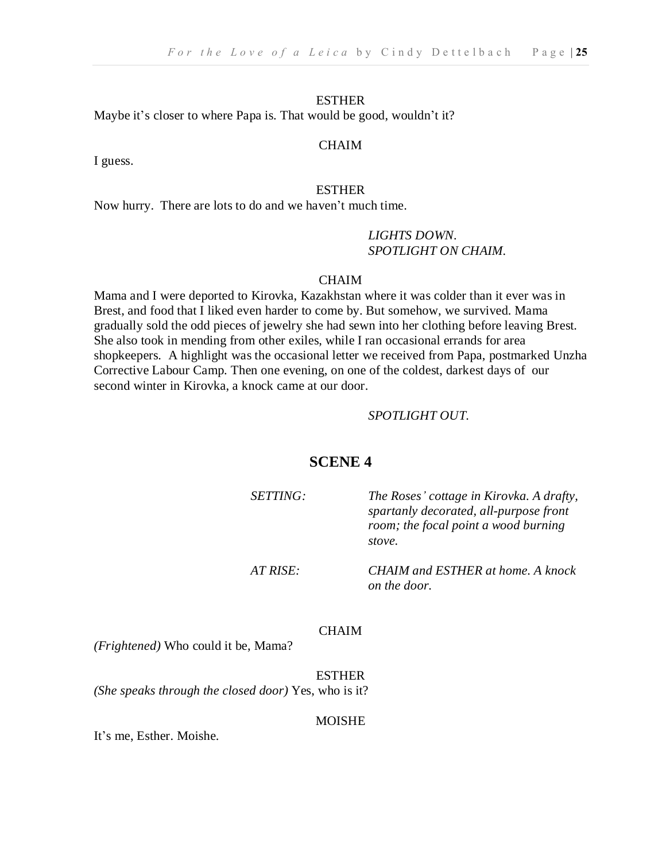Maybe it's closer to where Papa is. That would be good, wouldn't it?

#### **CHAIM**

I guess.

#### ESTHER

Now hurry. There are lots to do and we haven't much time.

#### *LIGHTS DOWN. SPOTLIGHT ON CHAIM.*

#### CHAIM

Mama and I were deported to Kirovka, Kazakhstan where it was colder than it ever was in Brest, and food that I liked even harder to come by. But somehow, we survived. Mama gradually sold the odd pieces of jewelry she had sewn into her clothing before leaving Brest. She also took in mending from other exiles, while I ran occasional errands for area shopkeepers. A highlight was the occasional letter we received from Papa, postmarked Unzha Corrective Labour Camp. Then one evening, on one of the coldest, darkest days of our second winter in Kirovka, a knock came at our door.

#### *SPOTLIGHT OUT.*

#### **SCENE 4**

*SETTING: The Roses' cottage in Kirovka. A drafty, spartanly decorated, all-purpose front room; the focal point a wood burning stove.*

*AT RISE: CHAIM and ESTHER at home. A knock on the door.*

#### CHAIM

*(Frightened)* Who could it be, Mama?

ESTHER *(She speaks through the closed door)* Yes, who is it?

**MOISHE** 

It's me, Esther. Moishe.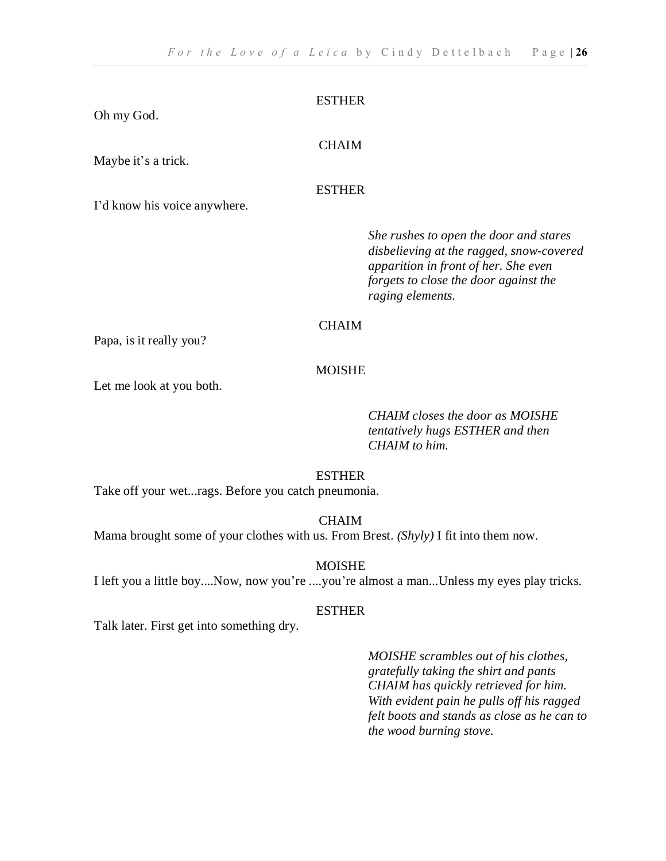Oh my God.

#### **CHAIM**

Maybe it's a trick.

#### ESTHER

I'd know his voice anywhere.

*She rushes to open the door and stares disbelieving at the ragged, snow-covered apparition in front of her. She even forgets to close the door against the raging elements.*

#### **CHAIM**

Papa, is it really you?

#### MOISHE

Let me look at you both.

*CHAIM closes the door as MOISHE tentatively hugs ESTHER and then CHAIM to him.*

#### ESTHER

Take off your wet...rags. Before you catch pneumonia.

CHAIM

Mama brought some of your clothes with us. From Brest. *(Shyly)* I fit into them now.

MOISHE

I left you a little boy....Now, now you're ....you're almost a man...Unless my eyes play tricks.

#### ESTHER

Talk later. First get into something dry.

*MOISHE scrambles out of his clothes, gratefully taking the shirt and pants CHAIM has quickly retrieved for him. With evident pain he pulls off his ragged felt boots and stands as close as he can to the wood burning stove.*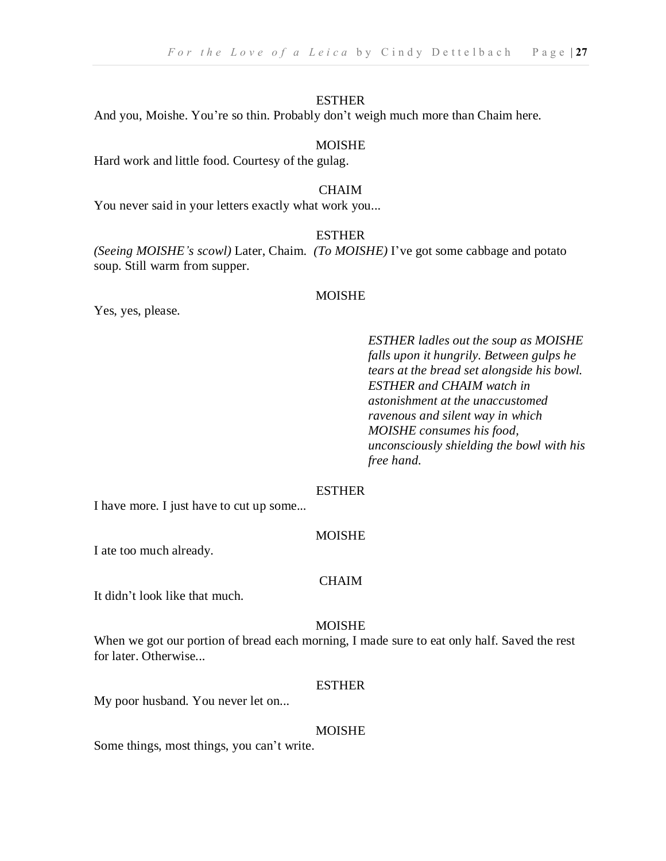And you, Moishe. You're so thin. Probably don't weigh much more than Chaim here.

#### MOISHE

Hard work and little food. Courtesy of the gulag.

#### CHAIM

You never said in your letters exactly what work you...

#### **ESTHER**

*(Seeing MOISHE's scowl)* Later, Chaim. *(To MOISHE)* I've got some cabbage and potato soup. Still warm from supper.

#### MOISHE

Yes, yes, please.

*ESTHER ladles out the soup as MOISHE falls upon it hungrily. Between gulps he tears at the bread set alongside his bowl. ESTHER and CHAIM watch in astonishment at the unaccustomed ravenous and silent way in which MOISHE consumes his food, unconsciously shielding the bowl with his free hand.*

#### ESTHER

I have more. I just have to cut up some...

#### MOISHE

I ate too much already.

#### **CHAIM**

It didn't look like that much.

#### MOISHE

When we got our portion of bread each morning, I made sure to eat only half. Saved the rest for later. Otherwise...

#### ESTHER

My poor husband. You never let on...

#### MOISHE

Some things, most things, you can't write.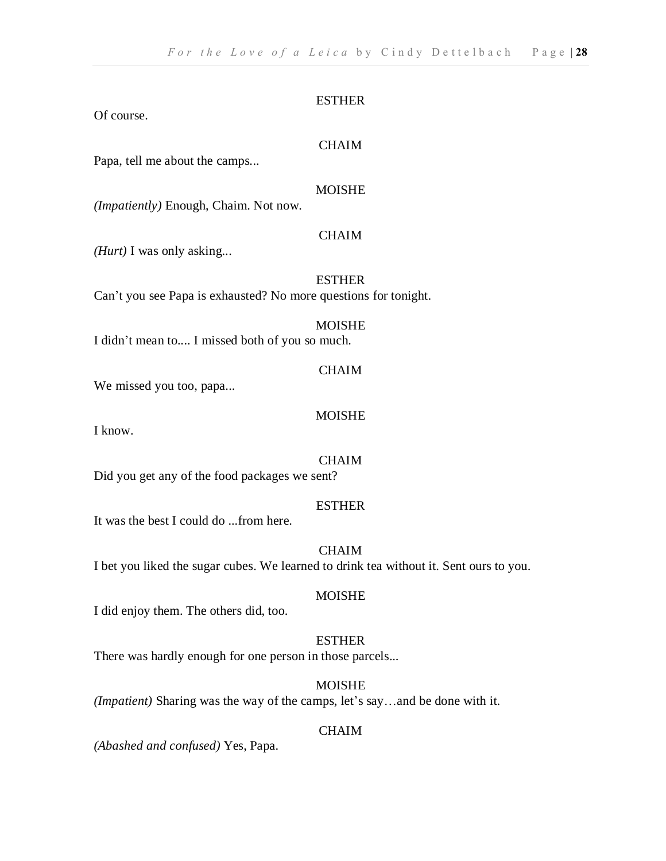Of course.

#### **CHAIM**

Papa, tell me about the camps...

#### MOISHE

*(Impatiently)* Enough, Chaim. Not now.

#### **CHAIM**

*(Hurt)* I was only asking...

#### ESTHER

Can't you see Papa is exhausted? No more questions for tonight.

#### MOISHE

I didn't mean to.... I missed both of you so much.

#### CHAIM

We missed you too, papa...

#### MOISHE

I know.

#### CHAIM

Did you get any of the food packages we sent?

#### ESTHER

It was the best I could do ...from here.

#### **CHAIM**

I bet you liked the sugar cubes. We learned to drink tea without it. Sent ours to you.

#### MOISHE

I did enjoy them. The others did, too.

#### ESTHER

There was hardly enough for one person in those parcels...

#### MOISHE

*(Impatient)* Sharing was the way of the camps, let's say…and be done with it.

#### CHAIM

*(Abashed and confused)* Yes, Papa.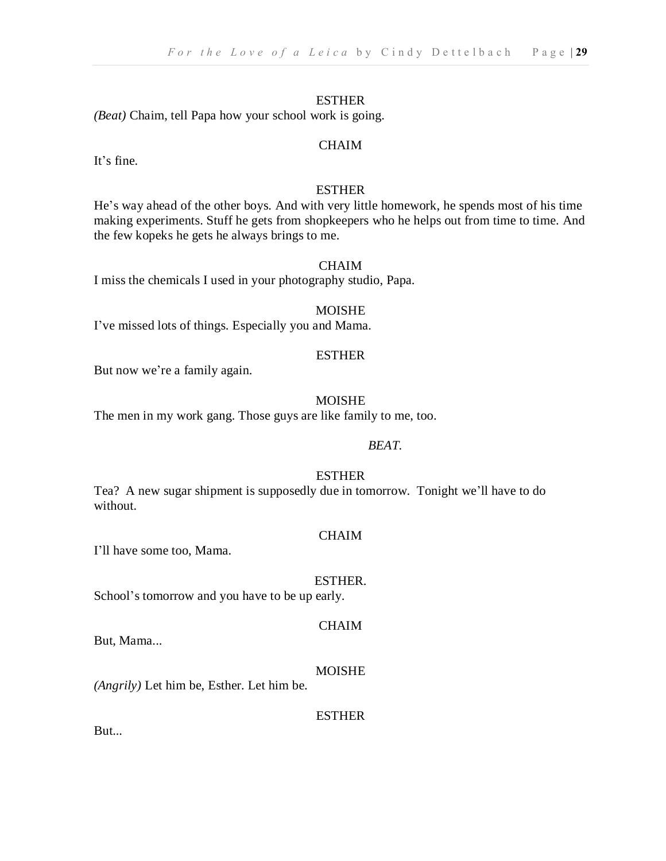*(Beat)* Chaim, tell Papa how your school work is going.

#### **CHAIM**

It's fine.

#### ESTHER

He's way ahead of the other boys. And with very little homework, he spends most of his time making experiments. Stuff he gets from shopkeepers who he helps out from time to time. And the few kopeks he gets he always brings to me.

#### CHAIM

I miss the chemicals I used in your photography studio, Papa.

#### MOISHE

I've missed lots of things. Especially you and Mama.

#### **ESTHER**

But now we're a family again.

#### MOISHE

The men in my work gang. Those guys are like family to me, too.

#### *BEAT.*

#### ESTHER

Tea? A new sugar shipment is supposedly due in tomorrow. Tonight we'll have to do without.

#### CHAIM

I'll have some too, Mama.

#### ESTHER.

CHAIM

School's tomorrow and you have to be up early.

#### But, Mama...

MOISHE

*(Angrily)* Let him be, Esther. Let him be.

#### ESTHER

But...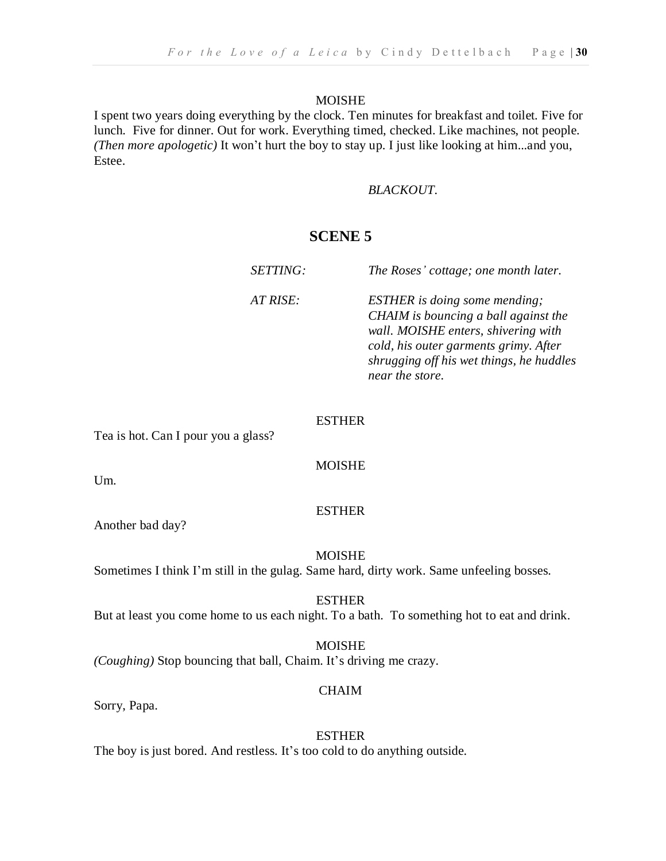I spent two years doing everything by the clock. Ten minutes for breakfast and toilet. Five for lunch. Five for dinner. Out for work. Everything timed, checked. Like machines, not people. *(Then more apologetic)* It won't hurt the boy to stay up. I just like looking at him...and you, Estee.

#### *BLACKOUT.*

#### **SCENE 5**

*SETTING: The Roses' cottage; one month later. AT RISE: ESTHER is doing some mending; CHAIM is bouncing a ball against the wall. MOISHE enters, shivering with cold, his outer garments grimy. After shrugging off his wet things, he huddles near the store.*

#### ESTHER

Tea is hot. Can I pour you a glass?

#### MOISHE

Um.

#### **ESTHER**

Another bad day?

MOISHE

Sometimes I think I'm still in the gulag. Same hard, dirty work. Same unfeeling bosses.

#### **ESTHER**

But at least you come home to us each night. To a bath. To something hot to eat and drink.

MOISHE *(Coughing)* Stop bouncing that ball, Chaim. It's driving me crazy.

#### **CHAIM**

Sorry, Papa.

ESTHER The boy is just bored. And restless. It's too cold to do anything outside.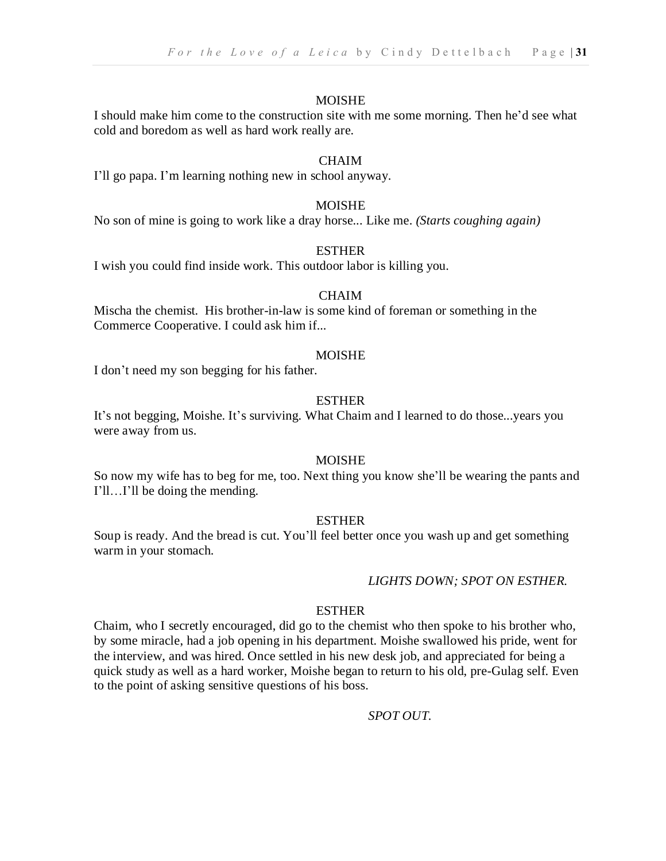I should make him come to the construction site with me some morning. Then he'd see what cold and boredom as well as hard work really are.

#### CHAIM

I'll go papa. I'm learning nothing new in school anyway.

#### **MOISHE**

No son of mine is going to work like a dray horse... Like me. *(Starts coughing again)*

#### ESTHER

I wish you could find inside work. This outdoor labor is killing you.

#### CHAIM

Mischa the chemist. His brother-in-law is some kind of foreman or something in the Commerce Cooperative. I could ask him if...

#### MOISHE

I don't need my son begging for his father.

#### ESTHER

It's not begging, Moishe. It's surviving. What Chaim and I learned to do those...years you were away from us.

#### MOISHE

So now my wife has to beg for me, too. Next thing you know she'll be wearing the pants and I'll…I'll be doing the mending.

#### ESTHER

Soup is ready. And the bread is cut. You'll feel better once you wash up and get something warm in your stomach.

#### *LIGHTS DOWN; SPOT ON ESTHER.*

#### **ESTHER**

Chaim, who I secretly encouraged, did go to the chemist who then spoke to his brother who, by some miracle, had a job opening in his department. Moishe swallowed his pride, went for the interview, and was hired. Once settled in his new desk job, and appreciated for being a quick study as well as a hard worker, Moishe began to return to his old, pre-Gulag self. Even to the point of asking sensitive questions of his boss.

*SPOT OUT.*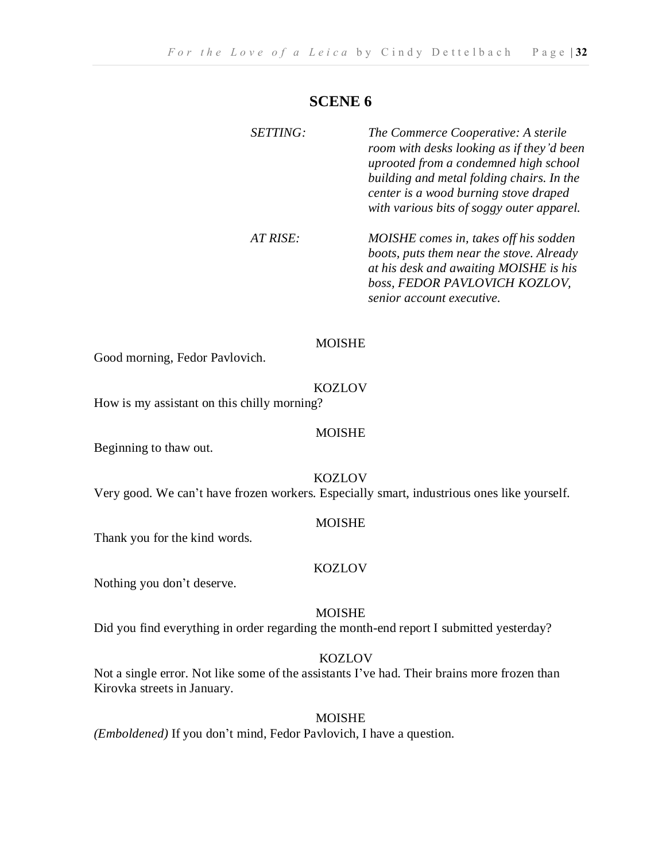#### **SCENE 6**

| <i>SETTING:</i> | The Commerce Cooperative: A sterile<br>room with desks looking as if they'd been<br>uprooted from a condemned high school<br>building and metal folding chairs. In the<br>center is a wood burning stove draped<br>with various bits of soggy outer apparel. |
|-----------------|--------------------------------------------------------------------------------------------------------------------------------------------------------------------------------------------------------------------------------------------------------------|
| AT RISE:        | MOISHE comes in, takes off his sodden<br>boots, puts them near the stove. Already<br>at his desk and awaiting MOISHE is his<br>boss, FEDOR PAVLOVICH KOZLOV,<br>senior account executive.                                                                    |

#### MOISHE

Good morning, Fedor Pavlovich.

#### KOZLOV

How is my assistant on this chilly morning?

#### MOISHE

Beginning to thaw out.

KOZLOV

Very good. We can't have frozen workers. Especially smart, industrious ones like yourself.

#### MOISHE

Thank you for the kind words.

#### KOZLOV

Nothing you don't deserve.

#### MOISHE

Did you find everything in order regarding the month-end report I submitted yesterday?

#### KOZLOV

Not a single error. Not like some of the assistants I've had. Their brains more frozen than Kirovka streets in January.

#### MOISHE

*(Emboldened)* If you don't mind, Fedor Pavlovich, I have a question.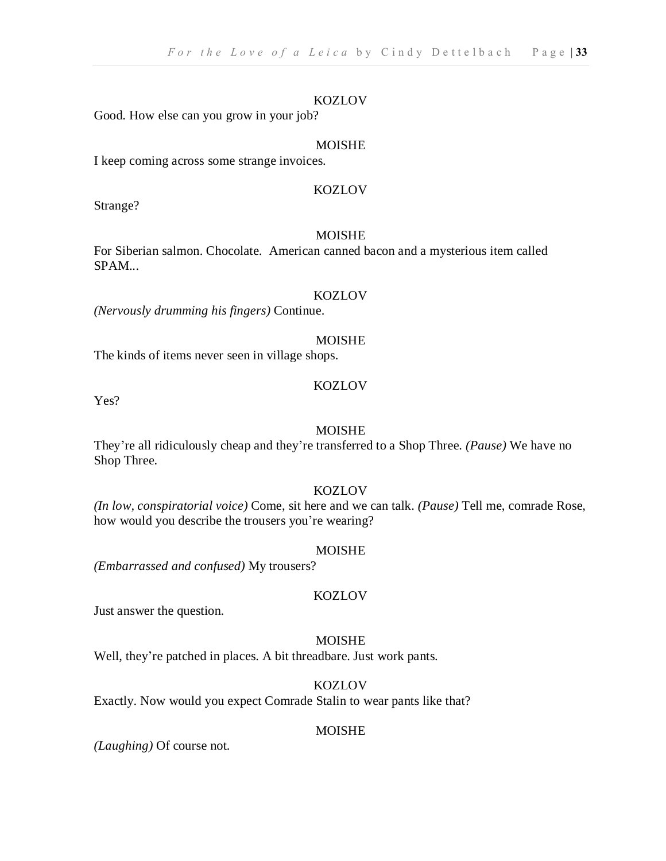#### KOZLOV

Good. How else can you grow in your job?

#### MOISHE

I keep coming across some strange invoices.

#### KOZLOV

Strange?

#### MOISHE

For Siberian salmon. Chocolate. American canned bacon and a mysterious item called SPAM...

#### **KOZLOV**

*(Nervously drumming his fingers)* Continue.

#### MOISHE

The kinds of items never seen in village shops.

#### **KOZLOV**

Yes?

#### MOISHE

They're all ridiculously cheap and they're transferred to a Shop Three. *(Pause)* We have no Shop Three.

#### **KOZLOV**

*(In low, conspiratorial voice)* Come, sit here and we can talk. *(Pause)* Tell me, comrade Rose, how would you describe the trousers you're wearing?

#### MOISHE

*(Embarrassed and confused)* My trousers?

#### KOZLOV

Just answer the question.

#### MOISHE

Well, they're patched in places. A bit threadbare. Just work pants.

#### **KOZLOV**

Exactly. Now would you expect Comrade Stalin to wear pants like that?

#### MOISHE

*(Laughing)* Of course not.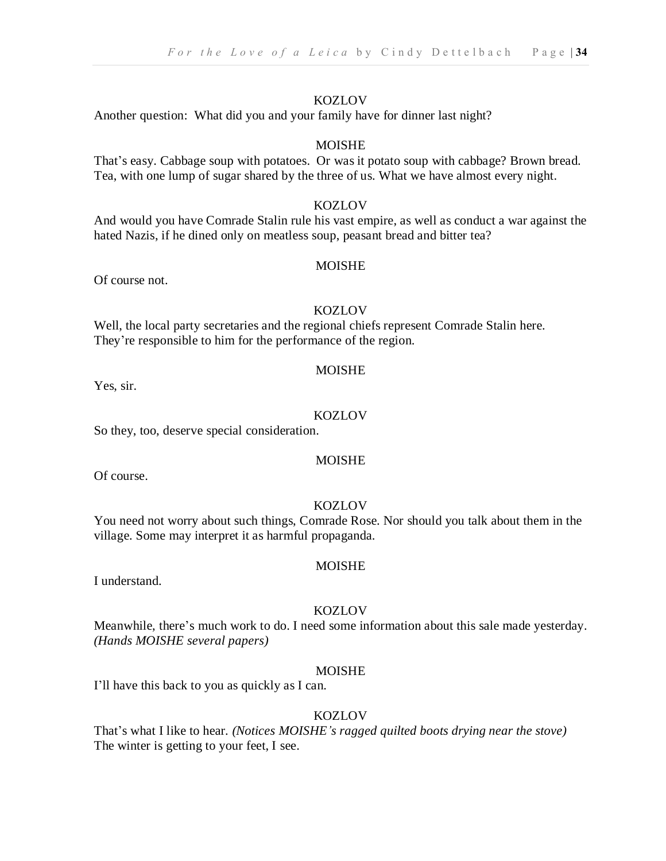#### KOZLOV

Another question: What did you and your family have for dinner last night?

#### MOISHE

That's easy. Cabbage soup with potatoes. Or was it potato soup with cabbage? Brown bread. Tea, with one lump of sugar shared by the three of us. What we have almost every night.

#### KOZLOV

And would you have Comrade Stalin rule his vast empire, as well as conduct a war against the hated Nazis, if he dined only on meatless soup, peasant bread and bitter tea?

#### MOISHE

Of course not.

#### **KOZLOV**

Well, the local party secretaries and the regional chiefs represent Comrade Stalin here. They're responsible to him for the performance of the region.

#### MOISHE

Yes, sir.

#### **KOZLOV**

So they, too, deserve special consideration.

#### MOISHE

Of course.

#### KOZLOV

You need not worry about such things, Comrade Rose. Nor should you talk about them in the village. Some may interpret it as harmful propaganda.

#### MOISHE

I understand.

#### **KOZLOV**

Meanwhile, there's much work to do. I need some information about this sale made yesterday. *(Hands MOISHE several papers)*

#### MOISHE

I'll have this back to you as quickly as I can.

#### KOZLOV

That's what I like to hear. *(Notices MOISHE's ragged quilted boots drying near the stove)* The winter is getting to your feet, I see.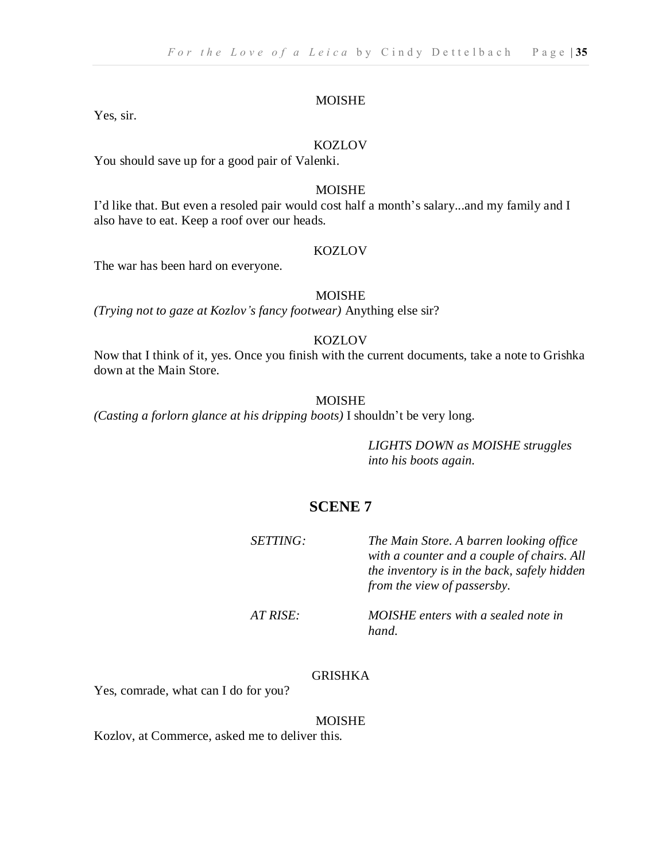Yes, sir.

#### KOZLOV

You should save up for a good pair of Valenki.

#### MOISHE

I'd like that. But even a resoled pair would cost half a month's salary...and my family and I also have to eat. Keep a roof over our heads.

#### KOZLOV

The war has been hard on everyone.

#### MOISHE

*(Trying not to gaze at Kozlov's fancy footwear)* Anything else sir?

#### KOZLOV

Now that I think of it, yes. Once you finish with the current documents, take a note to Grishka down at the Main Store.

#### MOISHE

*(Casting a forlorn glance at his dripping boots)* I shouldn't be very long.

*LIGHTS DOWN as MOISHE struggles into his boots again.*

#### **SCENE 7**

| <i>SETTING:</i> | The Main Store. A barren looking office<br>with a counter and a couple of chairs. All<br>the inventory is in the back, safely hidden<br>from the view of passersby. |
|-----------------|---------------------------------------------------------------------------------------------------------------------------------------------------------------------|
| AT RISE:        | MOISHE enters with a sealed note in<br>hand                                                                                                                         |

#### GRISHKA

Yes, comrade, what can I do for you?

#### MOISHE

Kozlov, at Commerce, asked me to deliver this.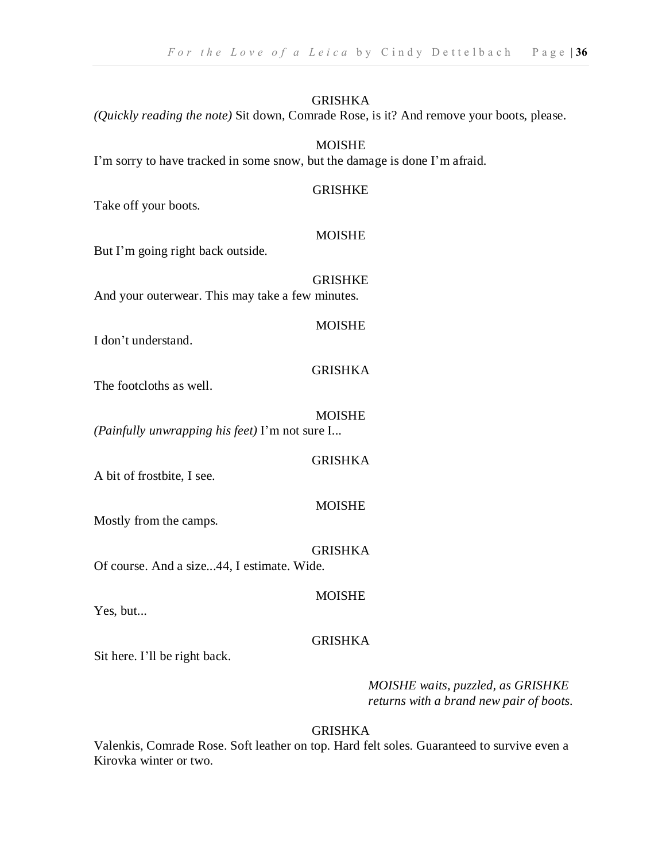#### GRISHKA

*(Quickly reading the note)* Sit down, Comrade Rose, is it? And remove your boots, please.

#### MOISHE

I'm sorry to have tracked in some snow, but the damage is done I'm afraid.

#### GRISHKE

Take off your boots.

#### **MOISHE**

But I'm going right back outside.

GRISHKE And your outerwear. This may take a few minutes.

#### **MOISHE**

I don't understand.

#### GRISHKA

The footcloths as well.

#### MOISHE

*(Painfully unwrapping his feet)* I'm not sure I...

#### GRISHKA

A bit of frostbite, I see.

#### **MOISHE**

Mostly from the camps.

#### GRISHKA

Of course. And a size...44, I estimate. Wide.

#### MOISHE

Yes, but...

#### GRISHKA

Sit here. I'll be right back.

*MOISHE waits, puzzled, as GRISHKE returns with a brand new pair of boots.*

#### GRISHKA

Valenkis, Comrade Rose. Soft leather on top. Hard felt soles. Guaranteed to survive even a Kirovka winter or two.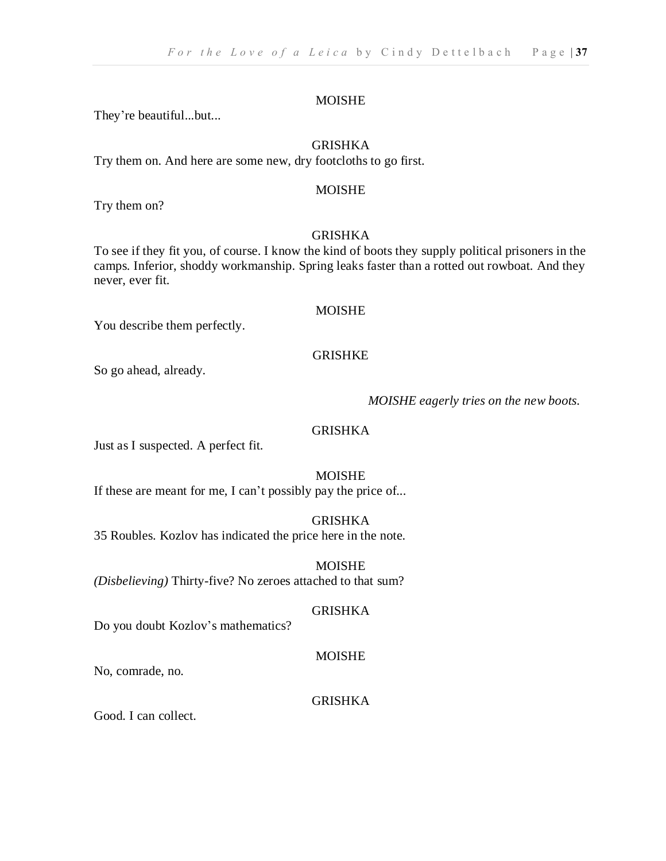They're beautiful...but...

#### GRISHKA

Try them on. And here are some new, dry footcloths to go first.

#### MOISHE

Try them on?

#### **GRISHKA**

To see if they fit you, of course. I know the kind of boots they supply political prisoners in the camps. Inferior, shoddy workmanship. Spring leaks faster than a rotted out rowboat. And they never, ever fit.

#### MOISHE

You describe them perfectly.

#### GRISHKE

So go ahead, already.

#### *MOISHE eagerly tries on the new boots.*

#### GRISHKA

Just as I suspected. A perfect fit.

#### MOISHE

If these are meant for me, I can't possibly pay the price of...

#### GRISHKA

35 Roubles. Kozlov has indicated the price here in the note.

MOISHE *(Disbelieving)* Thirty-five? No zeroes attached to that sum?

#### GRISHKA

Do you doubt Kozlov's mathematics?

#### MOISHE

No, comrade, no.

#### GRISHKA

Good. I can collect.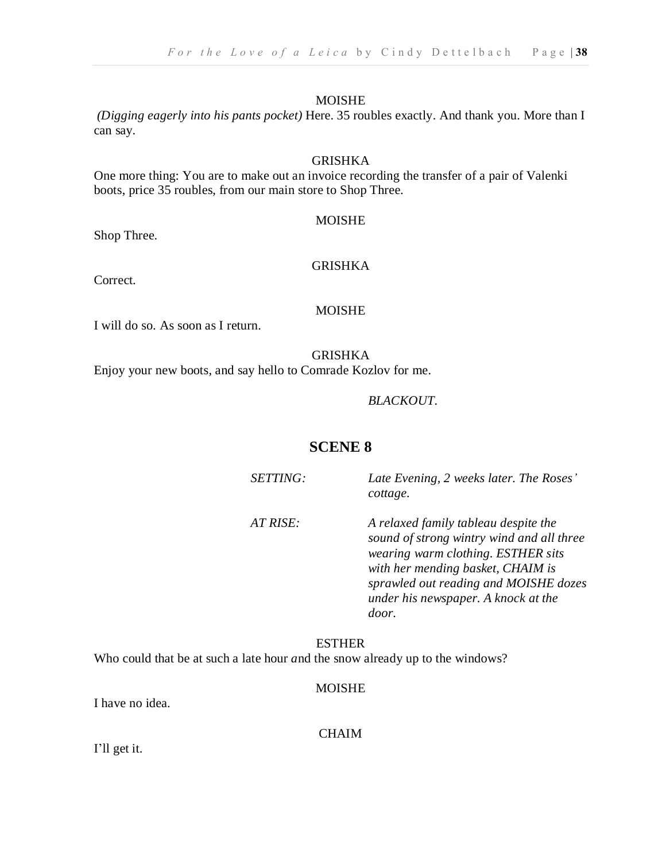*(Digging eagerly into his pants pocket)* Here. 35 roubles exactly. And thank you. More than I can say.

#### GRISHKA

One more thing: You are to make out an invoice recording the transfer of a pair of Valenki boots, price 35 roubles, from our main store to Shop Three.

#### MOISHE

Shop Three.

#### GRISHKA

Correct.

#### MOISHE

I will do so. As soon as I return.

#### GRISHKA

Enjoy your new boots, and say hello to Comrade Kozlov for me.

#### *BLACKOUT.*

#### **SCENE 8**

| SETTING: | Late Evening, 2 weeks later. The Roses'<br>cottage.                                                                                                                                                                                                   |
|----------|-------------------------------------------------------------------------------------------------------------------------------------------------------------------------------------------------------------------------------------------------------|
| AT RISE: | A relaxed family tableau despite the<br>sound of strong wintry wind and all three<br>wearing warm clothing. ESTHER sits<br>with her mending basket, CHAIM is<br>sprawled out reading and MOISHE dozes<br>under his newspaper. A knock at the<br>door. |

#### ESTHER Who could that be at such a late hour *a*nd the snow already up to the windows?

#### MOISHE

I have no idea.

CHAIM

I'll get it.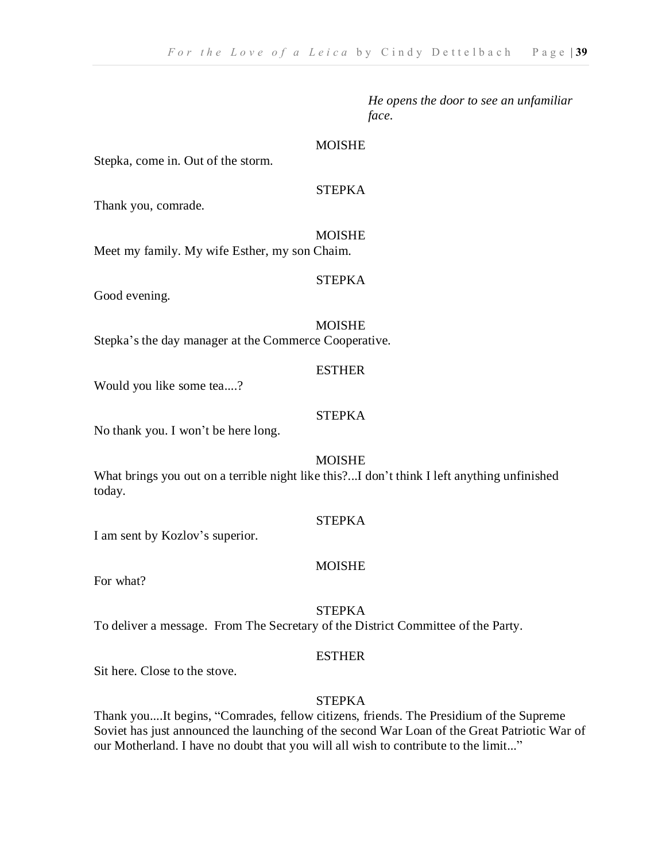*He opens the door to see an unfamiliar face.*

#### MOISHE

Stepka, come in. Out of the storm.

#### STEPKA

Thank you, comrade.

#### MOISHE

Meet my family. My wife Esther, my son Chaim.

#### STEPKA

Good evening.

#### **MOISHE**

Stepka's the day manager at the Commerce Cooperative.

#### ESTHER

Would you like some tea....?

#### **STEPKA**

No thank you. I won't be here long.

#### MOISHE

What brings you out on a terrible night like this?...I don't think I left anything unfinished today.

#### **STEPKA**

I am sent by Kozlov's superior.

#### MOISHE

For what?

#### **STEPKA**

To deliver a message. From The Secretary of the District Committee of the Party.

#### ESTHER

Sit here. Close to the stove.

#### **STEPKA**

Thank you....It begins, "Comrades, fellow citizens, friends. The Presidium of the Supreme Soviet has just announced the launching of the second War Loan of the Great Patriotic War of our Motherland. I have no doubt that you will all wish to contribute to the limit..."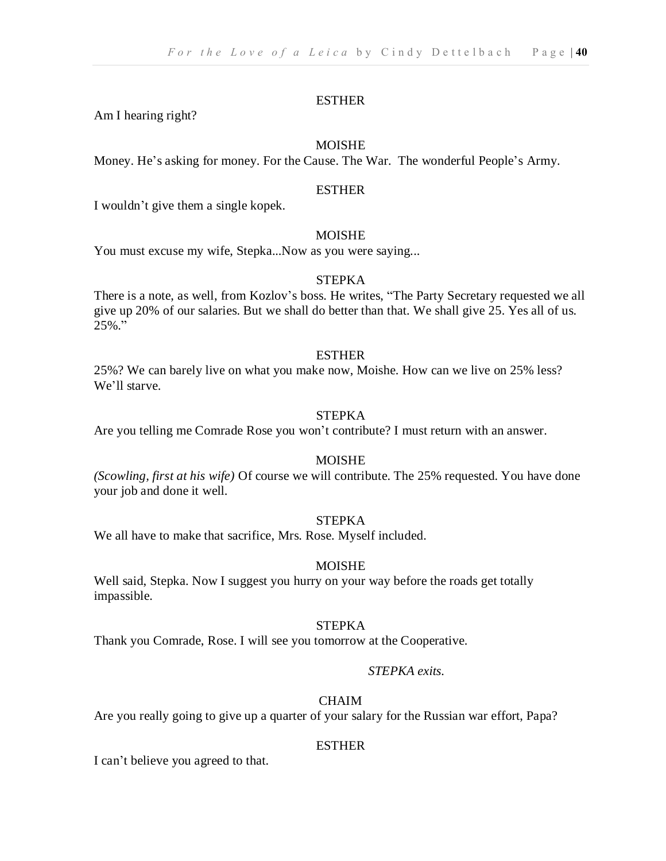Am I hearing right?

#### MOISHE

Money. He's asking for money. For the Cause. The War. The wonderful People's Army.

#### ESTHER

I wouldn't give them a single kopek.

#### MOISHE

You must excuse my wife, Stepka...Now as you were saying...

#### STEPKA

There is a note, as well, from Kozlov's boss. He writes, "The Party Secretary requested we all give up 20% of our salaries. But we shall do better than that. We shall give 25. Yes all of us.  $25\%$  ."

#### **ESTHER**

25%? We can barely live on what you make now, Moishe. How can we live on 25% less? We'll starve.

#### STEPKA

Are you telling me Comrade Rose you won't contribute? I must return with an answer.

#### MOISHE

*(Scowling, first at his wife)* Of course we will contribute. The 25% requested. You have done your job and done it well.

#### STEPKA

We all have to make that sacrifice, Mrs. Rose. Myself included.

#### MOISHE

Well said, Stepka. Now I suggest you hurry on your way before the roads get totally impassible.

#### STEPKA

Thank you Comrade, Rose. I will see you tomorrow at the Cooperative.

#### *STEPKA exits.*

#### CHAIM

Are you really going to give up a quarter of your salary for the Russian war effort, Papa?

#### ESTHER

I can't believe you agreed to that.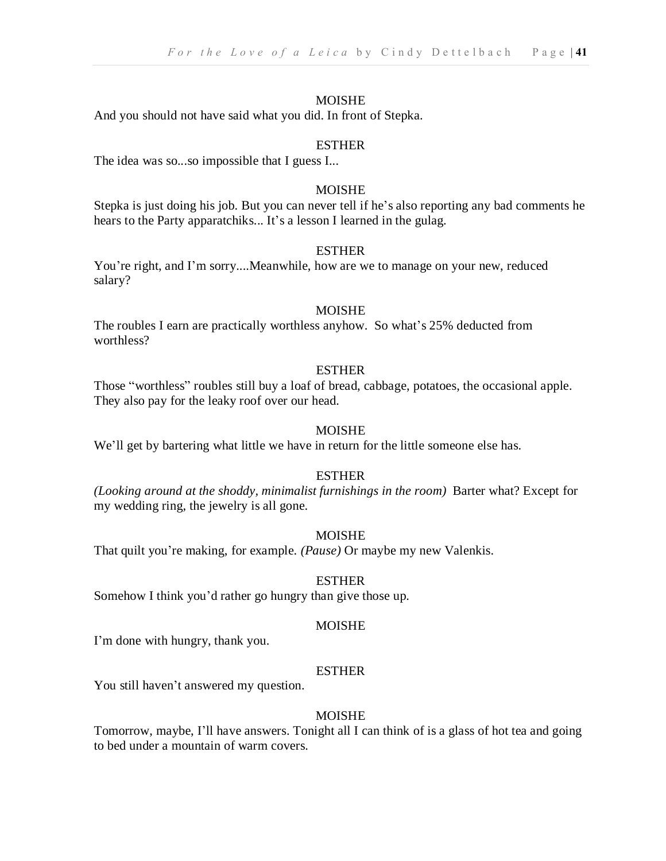And you should not have said what you did. In front of Stepka.

#### ESTHER

The idea was so...so impossible that I guess I...

#### MOISHE

Stepka is just doing his job. But you can never tell if he's also reporting any bad comments he hears to the Party apparatchiks... It's a lesson I learned in the gulag.

#### ESTHER

You're right, and I'm sorry....Meanwhile, how are we to manage on your new, reduced salary?

#### MOISHE

The roubles I earn are practically worthless anyhow. So what's 25% deducted from worthless?

#### ESTHER

Those "worthless" roubles still buy a loaf of bread, cabbage, potatoes, the occasional apple. They also pay for the leaky roof over our head.

#### MOISHE

We'll get by bartering what little we have in return for the little someone else has.

#### ESTHER

*(Looking around at the shoddy, minimalist furnishings in the room)* Barter what? Except for my wedding ring, the jewelry is all gone.

#### MOISHE

That quilt you're making, for example. *(Pause)* Or maybe my new Valenkis.

#### ESTHER

Somehow I think you'd rather go hungry than give those up.

#### MOISHE

I'm done with hungry, thank you.

#### ESTHER

You still haven't answered my question.

#### MOISHE

Tomorrow, maybe, I'll have answers. Tonight all I can think of is a glass of hot tea and going to bed under a mountain of warm covers.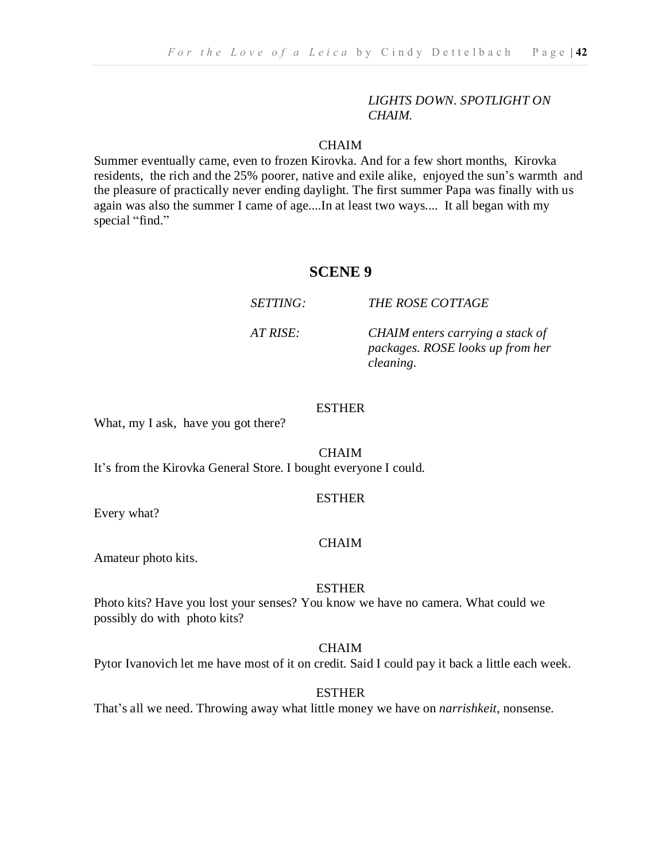#### *LIGHTS DOWN. SPOTLIGHT ON CHAIM.*

#### **CHAIM**

Summer eventually came, even to frozen Kirovka. And for a few short months, Kirovka residents, the rich and the 25% poorer, native and exile alike, enjoyed the sun's warmth and the pleasure of practically never ending daylight. The first summer Papa was finally with us again was also the summer I came of age....In at least two ways.... It all began with my special "find."

#### **SCENE 9**

*SETTING: THE ROSE COTTAGE*

*AT RISE: CHAIM enters carrying a stack of packages. ROSE looks up from her cleaning.*

#### ESTHER

What, my I ask, have you got there?

CHAIM

It's from the Kirovka General Store. I bought everyone I could.

#### ESTHER

Every what?

#### **CHAIM**

Amateur photo kits.

ESTHER

Photo kits? Have you lost your senses? You know we have no camera. What could we possibly do with photo kits?

CHAIM

Pytor Ivanovich let me have most of it on credit. Said I could pay it back a little each week.

ESTHER

That's all we need. Throwing away what little money we have on *narrishkeit*, nonsense.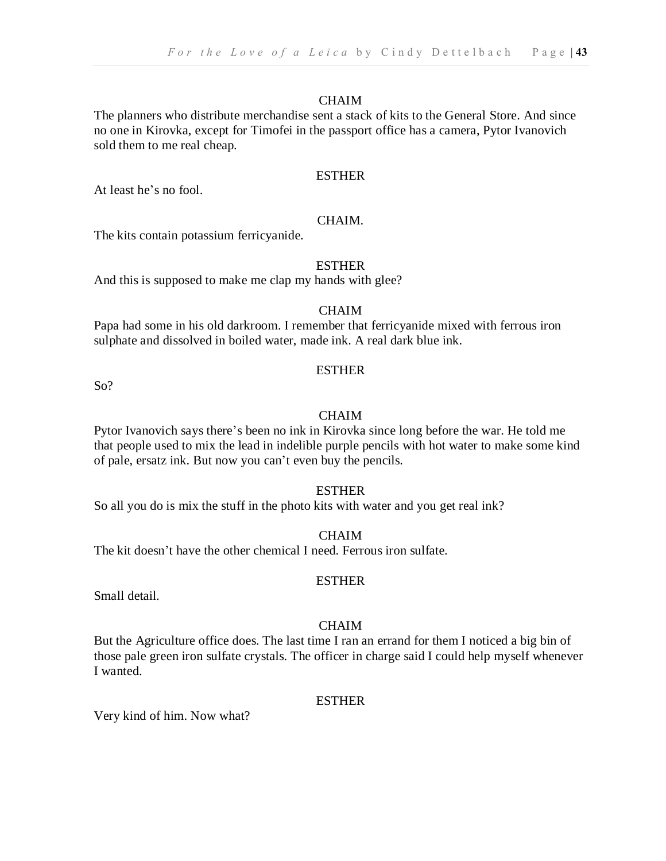#### CHAIM

The planners who distribute merchandise sent a stack of kits to the General Store. And since no one in Kirovka, except for Timofei in the passport office has a camera, Pytor Ivanovich sold them to me real cheap.

#### ESTHER

At least he's no fool.

#### CHAIM.

The kits contain potassium ferricyanide.

#### **ESTHER**

And this is supposed to make me clap my hands with glee?

#### CHAIM

Papa had some in his old darkroom. I remember that ferricyanide mixed with ferrous iron sulphate and dissolved in boiled water, made ink. A real dark blue ink.

So?

#### ESTHER

#### **CHAIM**

Pytor Ivanovich says there's been no ink in Kirovka since long before the war. He told me that people used to mix the lead in indelible purple pencils with hot water to make some kind of pale, ersatz ink. But now you can't even buy the pencils.

#### ESTHER

So all you do is mix the stuff in the photo kits with water and you get real ink?

#### CHAIM

ESTHER

The kit doesn't have the other chemical I need. Ferrous iron sulfate.

Small detail.

#### CHAIM

But the Agriculture office does. The last time I ran an errand for them I noticed a big bin of those pale green iron sulfate crystals. The officer in charge said I could help myself whenever I wanted.

#### **ESTHER**

Very kind of him. Now what?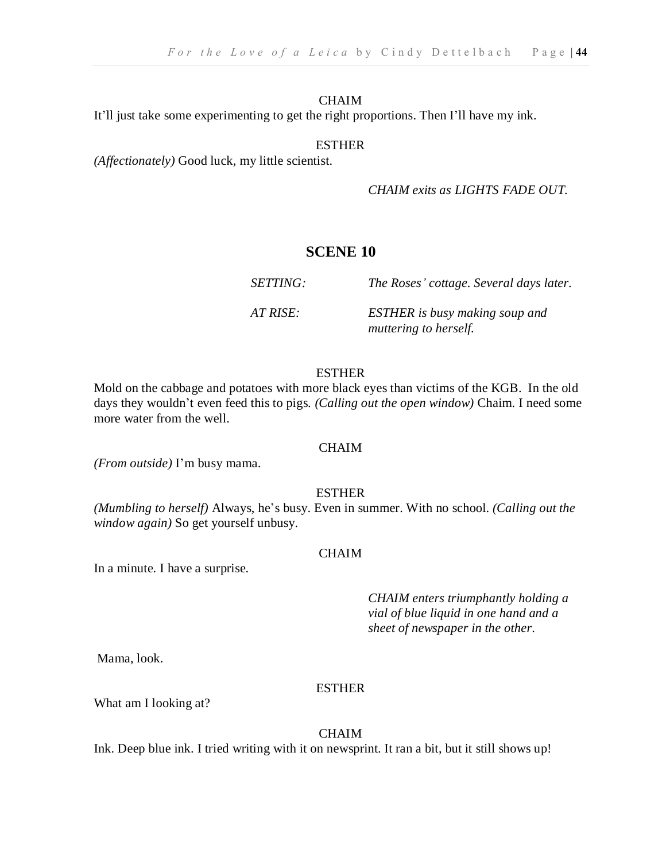#### CHAIM

It'll just take some experimenting to get the right proportions. Then I'll have my ink.

#### **ESTHER**

*(Affectionately)* Good luck, my little scientist.

*CHAIM exits as LIGHTS FADE OUT.*

#### **SCENE 10**

| <i>SETTING:</i> | The Roses' cottage. Several days later.                        |
|-----------------|----------------------------------------------------------------|
| AT RISE:        | <b>ESTHER</b> is busy making soup and<br>muttering to herself. |

#### **ESTHER**

Mold on the cabbage and potatoes with more black eyes than victims of the KGB. In the old days they wouldn't even feed this to pigs. *(Calling out the open window)* Chaim. I need some more water from the well.

#### CHAIM

*(From outside)* I'm busy mama.

#### ESTHER

*(Mumbling to herself)* Always, he's busy. Even in summer. With no school. *(Calling out the window again)* So get yourself unbusy.

#### CHAIM

In a minute. I have a surprise.

*CHAIM enters triumphantly holding a vial of blue liquid in one hand and a sheet of newspaper in the other*.

Mama, look.

#### ESTHER

What am I looking at?

#### CHAIM

Ink. Deep blue ink. I tried writing with it on newsprint. It ran a bit, but it still shows up!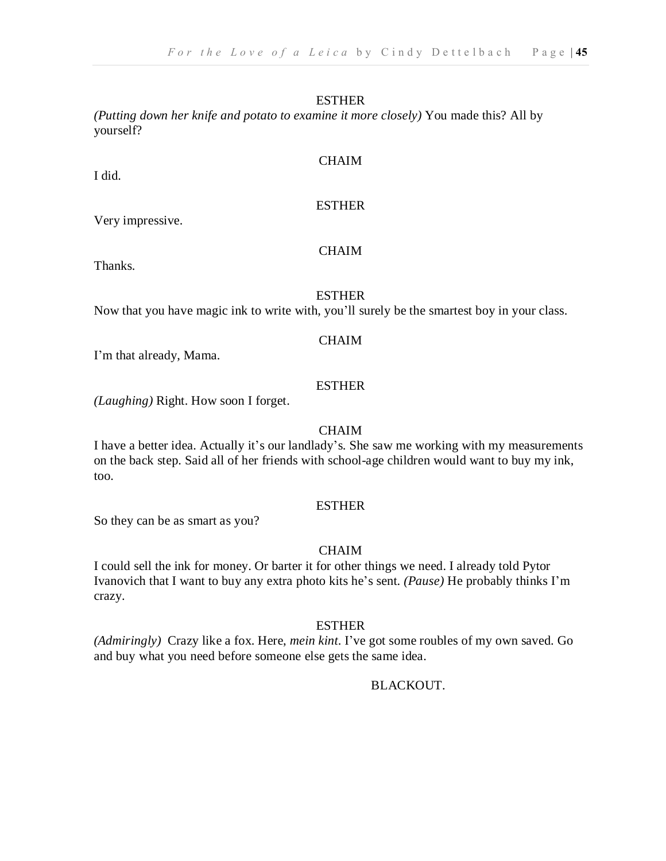*(Putting down her knife and potato to examine it more closely)* You made this? All by yourself?

I did.

Very impressive.

Thanks.

ESTHER

CHAIM

Now that you have magic ink to write with, you'll surely be the smartest boy in your class.

#### CHAIM

I'm that already, Mama.

#### **ESTHER**

*(Laughing)* Right. How soon I forget.

#### CHAIM

I have a better idea. Actually it's our landlady's. She saw me working with my measurements on the back step. Said all of her friends with school-age children would want to buy my ink, too.

#### **ESTHER**

So they can be as smart as you?

#### **CHAIM**

I could sell the ink for money. Or barter it for other things we need. I already told Pytor Ivanovich that I want to buy any extra photo kits he's sent. *(Pause)* He probably thinks I'm crazy.

#### ESTHER

*(Admiringly)* Crazy like a fox. Here, *mein kint*. I've got some roubles of my own saved. Go and buy what you need before someone else gets the same idea.

#### BLACKOUT.

#### CHAIM

ESTHER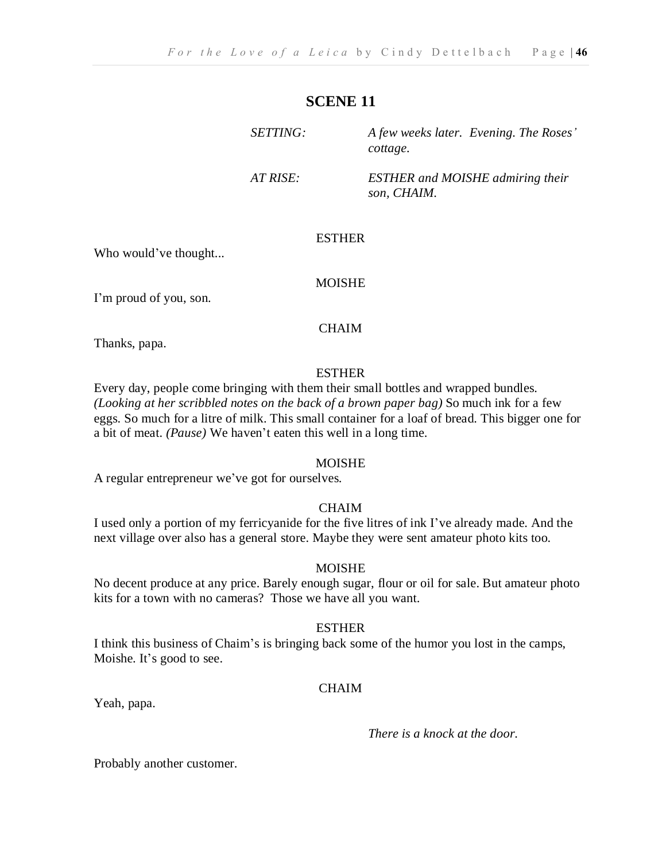#### **SCENE 11**

| <i>SETTING:</i> | A few weeks later. Evening. The Roses'<br>cottage.     |
|-----------------|--------------------------------------------------------|
| AT RISE:        | <b>ESTHER</b> and MOISHE admiring their<br>son. CHAIM. |

#### ESTHER

Who would've thought...

#### MOISHE

I'm proud of you, son.

#### CHAIM

Thanks, papa.

#### **ESTHER**

Every day, people come bringing with them their small bottles and wrapped bundles. *(Looking at her scribbled notes on the back of a brown paper bag)* So much ink for a few eggs. So much for a litre of milk. This small container for a loaf of bread. This bigger one for a bit of meat. *(Pause)* We haven't eaten this well in a long time.

#### MOISHE

A regular entrepreneur we've got for ourselves.

#### CHAIM

I used only a portion of my ferricyanide for the five litres of ink I've already made. And the next village over also has a general store. Maybe they were sent amateur photo kits too.

#### MOISHE

No decent produce at any price. Barely enough sugar, flour or oil for sale. But amateur photo kits for a town with no cameras? Those we have all you want.

#### ESTHER

I think this business of Chaim's is bringing back some of the humor you lost in the camps, Moishe. It's good to see.

#### CHAIM

Yeah, papa.

*There is a knock at the door.*

Probably another customer.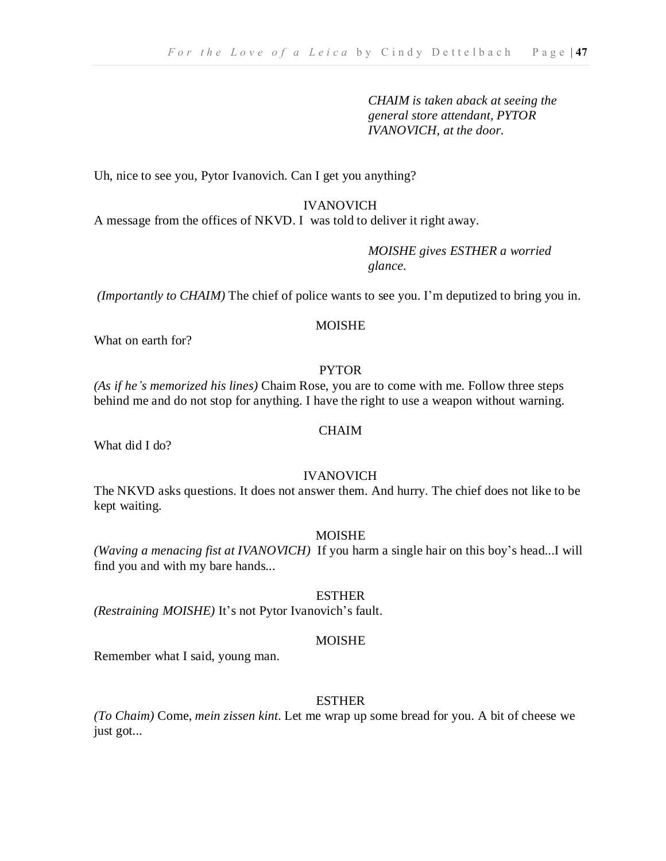*CHAIM is taken aback at seeing the general store attendant, PYTOR IVANOVICH, at the door.*

Uh, nice to see you, Pytor Ivanovich. Can I get you anything?

IVANOVICH

A message from the offices of NKVD. I was told to deliver it right away.

*MOISHE gives ESTHER a worried glance.*

*(Importantly to CHAIM)* The chief of police wants to see you. I'm deputized to bring you in.

#### **MOISHE**

What on earth for?

#### PYTOR

*(As if he's memorized his lines)* Chaim Rose, you are to come with me. Follow three steps behind me and do not stop for anything. I have the right to use a weapon without warning.

#### CHAIM

What did I do?

#### IVANOVICH

The NKVD asks questions. It does not answer them. And hurry. The chief does not like to be kept waiting.

#### MOISHE

*(Waving a menacing fist at IVANOVICH)* If you harm a single hair on this boy's head...I will find you and with my bare hands...

#### ESTHER

*(Restraining MOISHE)* It's not Pytor Ivanovich's fault.

#### MOISHE

Remember what I said, young man.

#### ESTHER

*(To Chaim)* Come, *mein zissen kint*. Let me wrap up some bread for you. A bit of cheese we just got...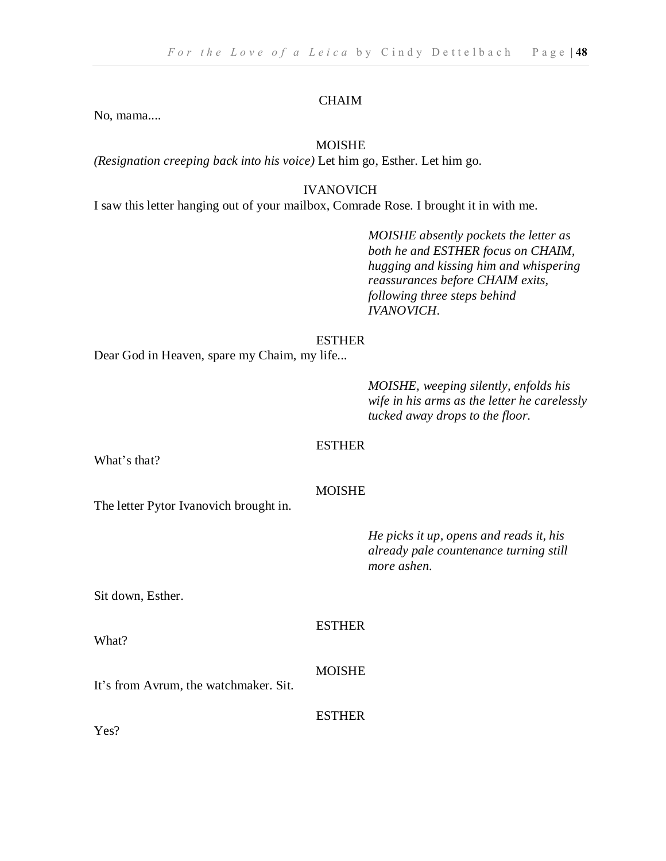#### CHAIM

No, mama....

#### MOISHE

*(Resignation creeping back into his voice)* Let him go, Esther. Let him go.

#### IVANOVICH

I saw this letter hanging out of your mailbox, Comrade Rose. I brought it in with me.

*MOISHE absently pockets the letter as both he and ESTHER focus on CHAIM, hugging and kissing him and whispering reassurances before CHAIM exits, following three steps behind IVANOVICH*.

#### ESTHER

Dear God in Heaven, spare my Chaim, my life...

*MOISHE, weeping silently, enfolds his wife in his arms as the letter he carelessly tucked away drops to the floor.*

#### ESTHER

What's that?

#### MOISHE

The letter Pytor Ivanovich brought in.

*He picks it up, opens and reads it, his already pale countenance turning still more ashen.*

Sit down, Esther.

ESTHER

#### MOISHE

It's from Avrum, the watchmaker. Sit.

ESTHER

Yes?

What?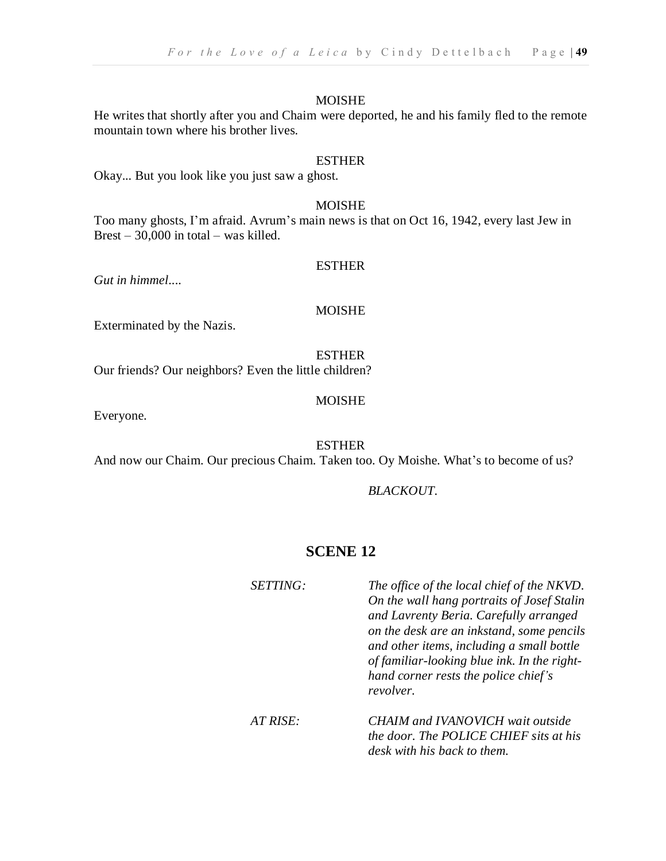He writes that shortly after you and Chaim were deported, he and his family fled to the remote mountain town where his brother lives.

#### ESTHER

Okay... But you look like you just saw a ghost.

#### MOISHE

Too many ghosts, I'm afraid. Avrum's main news is that on Oct 16, 1942, every last Jew in Brest – 30,000 in total – was killed.

#### ESTHER

*Gut in himmel*....

#### MOISHE

Exterminated by the Nazis.

ESTHER Our friends? Our neighbors? Even the little children?

#### MOISHE

Everyone.

ESTHER

And now our Chaim. Our precious Chaim. Taken too. Oy Moishe. What's to become of us?

#### *BLACKOUT.*

#### **SCENE 12**

| SETTING: | The office of the local chief of the NKVD.<br>On the wall hang portraits of Josef Stalin<br>and Lavrenty Beria. Carefully arranged<br>on the desk are an inkstand, some pencils<br>and other items, including a small bottle<br>of familiar-looking blue ink. In the right-<br>hand corner rests the police chief's<br>revolver. |
|----------|----------------------------------------------------------------------------------------------------------------------------------------------------------------------------------------------------------------------------------------------------------------------------------------------------------------------------------|
| AT RISE: | <b>CHAIM and IVANOVICH wait outside</b><br>the door. The POLICE CHIEF sits at his<br>desk with his back to them.                                                                                                                                                                                                                 |